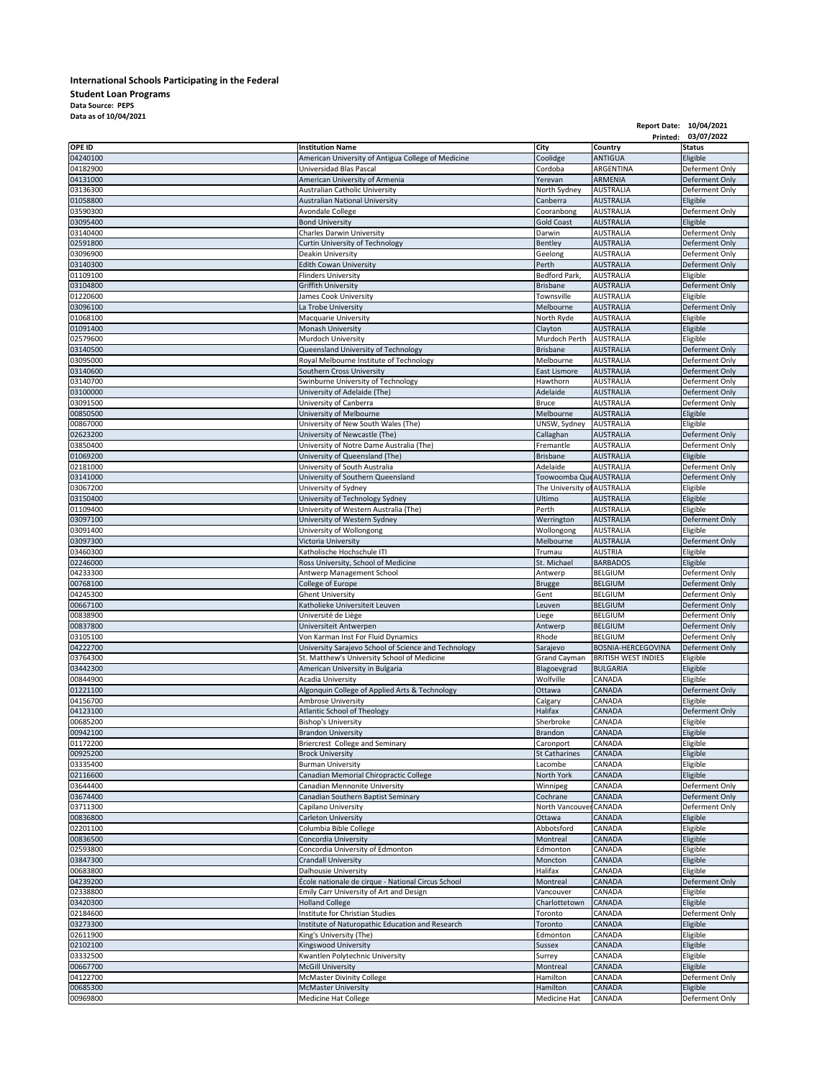## **International Schools Participating in the Federal Student Loan Programs Data Source: PEPS Data as of 10/04/2021**

|                      |                                                                                     |                                       |                                      | Report Date: 10/04/2021<br>Printed: 03/07/2022 |
|----------------------|-------------------------------------------------------------------------------------|---------------------------------------|--------------------------------------|------------------------------------------------|
| <b>OPE ID</b>        | <b>Institution Name</b>                                                             | <b>City</b>                           | <b>Country</b>                       | <b>Status</b>                                  |
| 04240100             | American University of Antigua College of Medicine                                  | Coolidge                              | <b>ANTIGUA</b>                       | Eligible                                       |
| 04182900             | Universidad Blas Pascal                                                             | Cordoba                               | ARGENTINA                            | Deferment Only                                 |
| 04131000             | American University of Armenia                                                      | Yerevan                               | <b>ARMENIA</b>                       | Deferment Only                                 |
| 03136300             | <b>Australian Catholic University</b>                                               | North Sydney                          | <b>AUSTRALIA</b>                     | Deferment Only                                 |
| 01058800<br>03590300 | <b>Australian National University</b><br><b>Avondale College</b>                    | Canberra<br>Cooranbong                | <b>AUSTRALIA</b><br><b>AUSTRALIA</b> | Eligible<br>Deferment Only                     |
| 03095400             | <b>Bond University</b>                                                              | <b>Gold Coast</b>                     | <b>AUSTRALIA</b>                     | Eligible                                       |
| 03140400             | <b>Charles Darwin University</b>                                                    | Darwin                                | <b>AUSTRALIA</b>                     | Deferment Only                                 |
| 02591800             | <b>Curtin University of Technology</b>                                              | Bentley                               | <b>AUSTRALIA</b>                     | Deferment Only                                 |
| 03096900             | Deakin University                                                                   | Geelong                               | <b>AUSTRALIA</b>                     | Deferment Only                                 |
| 03140300             | <b>Edith Cowan University</b>                                                       | Perth                                 | <b>AUSTRALIA</b>                     | Deferment Only                                 |
| 01109100<br>03104800 | <b>Flinders University</b><br><b>Griffith University</b>                            | Bedford Park,<br>Brisbane             | <b>AUSTRALIA</b><br><b>AUSTRALIA</b> | Eligible<br>Deferment Only                     |
| 01220600             | James Cook University                                                               | Townsville                            | <b>AUSTRALIA</b>                     | Eligible                                       |
| 03096100             | La Trobe University                                                                 | Melbourne                             | <b>AUSTRALIA</b>                     | Deferment Only                                 |
| 01068100             | <b>Macquarie University</b>                                                         | North Ryde                            | <b>AUSTRALIA</b>                     | Eligible                                       |
| 01091400             | Monash University                                                                   | Clayton                               | <b>AUSTRALIA</b>                     | Eligible                                       |
| 02579600             | Murdoch University                                                                  | Murdoch Perth                         | <b>AUSTRALIA</b>                     | Eligible                                       |
| 03140500<br>03095000 | Queensland University of Technology<br>Royal Melbourne Institute of Technology      | <b>Brisbane</b><br>Melbourne          | <b>AUSTRALIA</b><br><b>AUSTRALIA</b> | Deferment Only<br>Deferment Only               |
| 03140600             | Southern Cross University                                                           | <b>East Lismore</b>                   | <b>AUSTRALIA</b>                     | Deferment Only                                 |
| 03140700             | Swinburne University of Technology                                                  | Hawthorn                              | <b>AUSTRALIA</b>                     | Deferment Only                                 |
| 03100000             | University of Adelaide (The)                                                        | Adelaide                              | <b>AUSTRALIA</b>                     | Deferment Only                                 |
| 03091500             | University of Canberra                                                              | <b>Bruce</b>                          | <b>AUSTRALIA</b>                     | Deferment Only                                 |
| 00850500             | University of Melbourne                                                             | Melbourne                             | <b>AUSTRALIA</b>                     | Eligible<br>Eligible                           |
| 00867000<br>02623200 | University of New South Wales (The)<br>University of Newcastle (The)                | UNSW, Sydney<br>Callaghan             | <b>AUSTRALIA</b><br><b>AUSTRALIA</b> | Deferment Only                                 |
| 03850400             | University of Notre Dame Australia (The)                                            | Fremantle                             | <b>AUSTRALIA</b>                     | Deferment Only                                 |
| 01069200             | University of Queensland (The)                                                      | <b>Brisbane</b>                       | <b>AUSTRALIA</b>                     | Eligible                                       |
| 02181000             | University of South Australia                                                       | Adelaide                              | <b>AUSTRALIA</b>                     | Deferment Only                                 |
| 03141000             | University of Southern Queensland                                                   | Toowoomba QueAUSTRALIA                |                                      | Deferment Only                                 |
| 03067200<br>03150400 | University of Sydney<br>University of Technology Sydney                             | The University of AUSTRALIA<br>Ultimo | <b>AUSTRALIA</b>                     | Eligible<br>Eligible                           |
| 01109400             | University of Western Australia (The)                                               | Perth                                 | <b>AUSTRALIA</b>                     | Eligible                                       |
| 03097100             | University of Western Sydney                                                        | Werrington                            | <b>AUSTRALIA</b>                     | Deferment Only                                 |
| 03091400             | University of Wollongong                                                            | Wollongong                            | <b>AUSTRALIA</b>                     | Eligible                                       |
| 03097300             | Victoria University                                                                 | Melbourne                             | <b>AUSTRALIA</b>                     | Deferment Only                                 |
| 03460300             | Katholische Hochschule ITI                                                          | Trumau                                | <b>AUSTRIA</b>                       | Eligible                                       |
| 02246000<br>04233300 | Ross University, School of Medicine<br>Antwerp Management School                    | St. Michael<br>Antwerp                | <b>BARBADOS</b><br><b>BELGIUM</b>    | Eligible<br>Deferment Only                     |
| 00768100             | College of Europe                                                                   | Brugge                                | <b>BELGIUM</b>                       | Deferment Only                                 |
| 04245300             | <b>Ghent University</b>                                                             | Gent                                  | <b>BELGIUM</b>                       | Deferment Only                                 |
| 00667100             | Katholieke Universiteit Leuven                                                      | Leuven                                | <b>BELGIUM</b>                       | Deferment Only                                 |
| 00838900             | Université de Liège                                                                 | Liege                                 | <b>BELGIUM</b>                       | Deferment Only                                 |
| 00837800<br>03105100 | Universiteit Antwerpen<br>Von Karman Inst For Fluid Dynamics                        | Antwerp<br>Rhode                      | <b>BELGIUM</b><br><b>BELGIUM</b>     | Deferment Only<br>Deferment Only               |
| 04222700             | University Sarajevo School of Science and Technology                                | Sarajevo                              | <b>BOSNIA-HERCEGOVINA</b>            | Deferment Only                                 |
| 03764300             | St. Matthew's University School of Medicine                                         | <b>Grand Cayman</b>                   | <b>BRITISH WEST INDIES</b>           | Eligible                                       |
| 03442300             | American University in Bulgaria                                                     | Blagoevgrad                           | <b>BULGARIA</b>                      | Eligible                                       |
| 00844900             | <b>Acadia University</b>                                                            | Wolfville                             | CANADA                               | Eligible                                       |
| 01221100             | Algonquin College of Applied Arts & Technology                                      | Ottawa                                | <b>CANADA</b>                        | Deferment Only                                 |
| 04156700<br>04123100 | <b>Ambrose University</b><br><b>Atlantic School of Theology</b>                     | Calgary<br><b>Halifax</b>             | CANADA<br><b>CANADA</b>              | Eligible<br>Deferment Only                     |
| 00685200             | <b>Bishop's University</b>                                                          | Sherbroke                             | CANADA                               | Eligible                                       |
| 00942100             | <b>Brandon University</b>                                                           | <b>Brandon</b>                        | <b>CANADA</b>                        | Eligible                                       |
| 01172200             | Briercrest College and Seminary                                                     | Caronport                             | CANADA                               | Eligible                                       |
| 00925200             | <b>Brock University</b>                                                             | <b>St Catharines</b>                  | <b>CANADA</b>                        | Eligible                                       |
| 03335400<br>02116600 | <b>Burman University</b><br>Canadian Memorial Chiropractic College                  | Lacombe<br>North York                 | CANADA<br><b>CANADA</b>              | Eligible<br>Eligible                           |
| 03644400             | Canadian Mennonite University                                                       | Winnipeg                              | <b>CANADA</b>                        | Deferment Only                                 |
| 03674400             | Canadian Southern Baptist Seminary                                                  | Cochrane                              | <b>CANADA</b>                        | Deferment Only                                 |
| 03711300             | Capilano University                                                                 | North Vancouver                       | <b>CANADA</b>                        | Deferment Only                                 |
| 00836800             | <b>Carleton University</b>                                                          | Ottawa                                | CANADA                               | Eligible                                       |
| 02201100             | Columbia Bible College                                                              | Abbotsford                            | <b>CANADA</b>                        | Eligible                                       |
| 00836500<br>02593800 | Concordia University<br>Concordia University of Edmonton                            | Montreal                              | <b>CANADA</b><br>CANADA              | Eligible                                       |
| 03847300             | <b>Crandall University</b>                                                          | Edmonton<br>Moncton                   | <b>CANADA</b>                        | Eligible<br>Eligible                           |
| 00683800             | <b>Dalhousie University</b>                                                         | Halifax                               | CANADA                               | Eligible                                       |
| 04239200             | École nationale de cirque - National Circus School                                  | Montreal                              | <b>CANADA</b>                        | Deferment Only                                 |
| 02338800             | Emily Carr University of Art and Design                                             | Vancouver                             | <b>CANADA</b>                        | Eligible                                       |
| 03420300             | <b>Holland College</b>                                                              | Charlottetown                         | <b>CANADA</b>                        | Eligible                                       |
| 02184600<br>03273300 | Institute for Christian Studies<br>Institute of Naturopathic Education and Research | Toronto<br>Toronto                    | CANADA<br><b>CANADA</b>              | Deferment Only<br>Eligible                     |
| 02611900             | King's University (The)                                                             | Edmonton                              | CANADA                               | Eligible                                       |
| 02102100             | <b>Kingswood University</b>                                                         | Sussex                                | <b>CANADA</b>                        | Eligible                                       |
| 03332500             | Kwantlen Polytechnic University                                                     | Surrey                                | CANADA                               | Eligible                                       |
| 00667700             | <b>McGill University</b>                                                            | Montreal                              | CANADA                               | Eligible                                       |
| 04122700             | <b>McMaster Divinity College</b>                                                    | Hamilton                              | CANADA                               | Deferment Only                                 |
| 00685300<br>00969800 | <b>McMaster University</b><br><b>Medicine Hat College</b>                           | Hamilton<br><b>Medicine Hat</b>       | <b>CANADA</b><br><b>CANADA</b>       | Eligible<br>Deferment Only                     |
|                      |                                                                                     |                                       |                                      |                                                |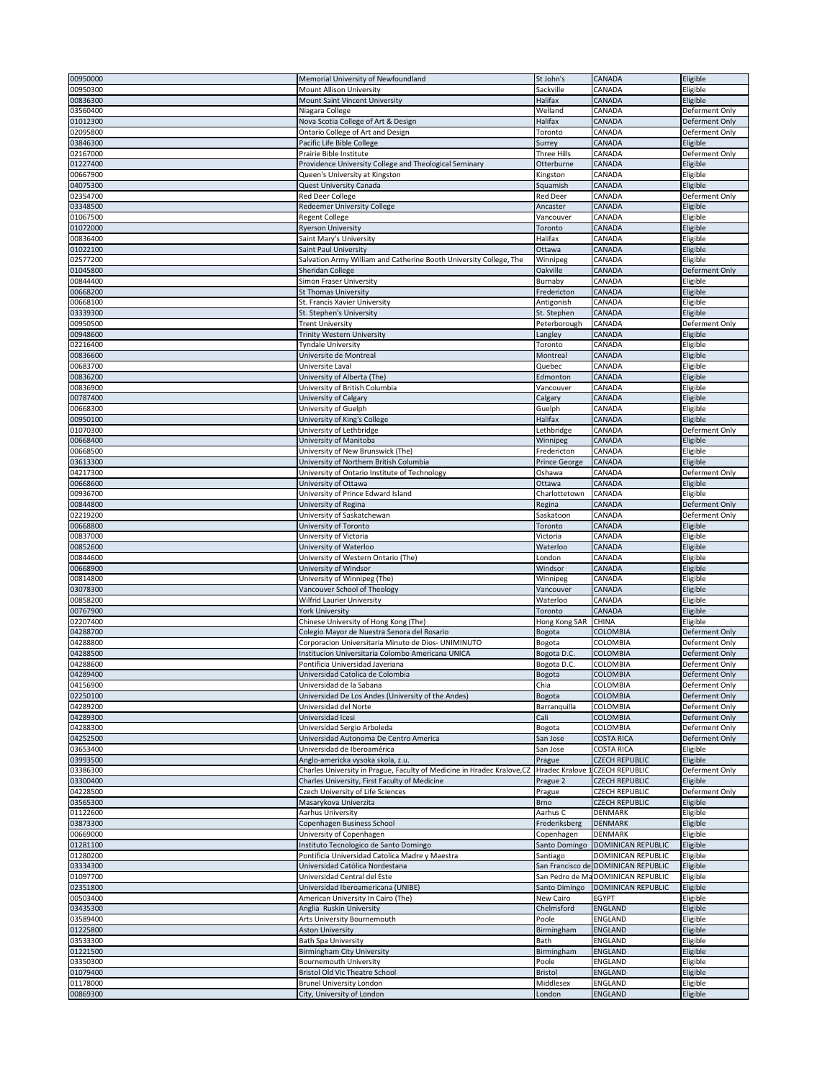| 00950000             | Memorial University of Newfoundland                                     | St John's            | <b>CANADA</b>                       | Eligible             |
|----------------------|-------------------------------------------------------------------------|----------------------|-------------------------------------|----------------------|
| 00950300             | <b>Mount Allison University</b>                                         | Sackville            | CANADA                              | Eligible             |
| 00836300             | Mount Saint Vincent University                                          | Halifax              | <b>CANADA</b>                       | Eligible             |
|                      |                                                                         |                      |                                     |                      |
| 03560400             | Niagara College                                                         | Welland              | <b>CANADA</b>                       | Deferment Only       |
| 01012300             | Nova Scotia College of Art & Design                                     | Halifax              | <b>CANADA</b>                       | Deferment Only       |
| 02095800             | Ontario College of Art and Design                                       | Toronto              | <b>CANADA</b>                       | Deferment Only       |
| 03846300             | Pacific Life Bible College                                              | Surrey               | <b>CANADA</b>                       | Eligible             |
| 02167000             | Prairie Bible Institute                                                 | Three Hills          | <b>CANADA</b>                       | Deferment Only       |
| 01227400             | Providence University College and Theological Seminary                  | Otterburne           | <b>CANADA</b>                       | Eligible             |
| 00667900             | Queen's University at Kingston                                          | Kingston             | CANADA                              | Eligible             |
| 04075300             | <b>Quest University Canada</b>                                          | Squamish             | <b>CANADA</b>                       | Eligible             |
| 02354700             | Red Deer College                                                        | <b>Red Deer</b>      | <b>CANADA</b>                       | Deferment Only       |
| 03348500             | <b>Redeemer University College</b>                                      | Ancaster             | <b>CANADA</b>                       | Eligible             |
| 01067500             | <b>Regent College</b>                                                   | Vancouver            | <b>CANADA</b>                       | Eligible             |
| 01072000             | <b>Ryerson University</b>                                               | Toronto              | <b>CANADA</b>                       | Eligible             |
| 00836400             | Saint Mary's University                                                 | Halifax              | <b>CANADA</b>                       | Eligible             |
|                      |                                                                         |                      |                                     |                      |
| 01022100             | Saint Paul University                                                   | Ottawa               | <b>CANADA</b>                       | Eligible             |
| 02577200             | Salvation Army William and Catherine Booth University College, The      | Winnipeg             | <b>CANADA</b>                       | Eligible             |
| 01045800             | Sheridan College                                                        | Oakville             | <b>CANADA</b>                       | Deferment Only       |
| 00844400             | <b>Simon Fraser University</b>                                          | Burnaby              | <b>CANADA</b>                       | Eligible             |
| 00668200             | St Thomas University                                                    | Fredericton          | <b>CANADA</b>                       | Eligible             |
| 00668100             | St. Francis Xavier University                                           | Antigonish           | <b>CANADA</b>                       | Eligible             |
| 03339300             | St. Stephen's University                                                | St. Stephen          | <b>CANADA</b>                       | Eligible             |
| 00950500             | <b>Trent University</b>                                                 | Peterborough         | <b>CANADA</b>                       | Deferment Only       |
| 00948600             | <b>Trinity Western University</b>                                       | Langley              | <b>CANADA</b>                       | Eligible             |
| 02216400             | <b>Tyndale University</b>                                               | Toronto              | <b>CANADA</b>                       | Eligible             |
| 00836600             | Universite de Montreal                                                  | Montreal             | <b>CANADA</b>                       | Eligible             |
| 00683700             | Universite Laval                                                        | Quebec               | <b>CANADA</b>                       | Eligible             |
| 00836200             | University of Alberta (The)                                             | Edmonton             | <b>CANADA</b>                       | Eligible             |
| 00836900             | University of British Columbia                                          | Vancouver            | <b>CANADA</b>                       | Eligible             |
| 00787400             |                                                                         |                      | <b>CANADA</b>                       |                      |
|                      | University of Calgary                                                   | Calgary              |                                     | Eligible             |
| 00668300             | University of Guelph                                                    | Guelph               | <b>CANADA</b>                       | Eligible             |
| 00950100             | University of King's College                                            | <b>Halifax</b>       | <b>CANADA</b>                       | Eligible             |
| 01070300             | University of Lethbridge                                                | Lethbridge           | <b>CANADA</b>                       | Deferment Only       |
| 00668400             | University of Manitoba                                                  | Winnipeg             | <b>CANADA</b>                       | Eligible             |
| 00668500             | University of New Brunswick (The)                                       | Fredericton          | <b>CANADA</b>                       | Eligible             |
| 03613300             | University of Northern British Columbia                                 | <b>Prince George</b> | <b>CANADA</b>                       | Eligible             |
| 04217300             | University of Ontario Institute of Technology                           | Oshawa               | <b>CANADA</b>                       | Deferment Only       |
| 00668600             | University of Ottawa                                                    | Ottawa               | <b>CANADA</b>                       | Eligible             |
| 00936700             | University of Prince Edward Island                                      | Charlottetown        | <b>CANADA</b>                       | Eligible             |
| 00844800             | University of Regina                                                    | Regina               | <b>CANADA</b>                       | Deferment Only       |
| 02219200             | University of Saskatchewan                                              | Saskatoon            | <b>CANADA</b>                       | Deferment Only       |
| 00668800             | University of Toronto                                                   | Toronto              | <b>CANADA</b>                       | Eligible             |
| 00837000             | University of Victoria                                                  | Victoria             | <b>CANADA</b>                       | Eligible             |
| 00852600             | University of Waterloo                                                  | Waterloo             | <b>CANADA</b>                       | Eligible             |
| 00844600             | University of Western Ontario (The)                                     | London               | CANADA                              | Eligible             |
| 00668900             | University of Windsor                                                   | Windsor              | <b>CANADA</b>                       | Eligible             |
| 00814800             | University of Winnipeg (The)                                            | Winnipeg             | <b>CANADA</b>                       | Eligible             |
| 03078300             | Vancouver School of Theology                                            | Vancouver            | <b>CANADA</b>                       | Eligible             |
| 00858200             | <b>Wilfrid Laurier University</b>                                       | Waterloo             | <b>CANADA</b>                       | Eligible             |
| 00767900             | <b>York University</b>                                                  | Toronto              | <b>CANADA</b>                       | Eligible             |
| 02207400             | Chinese University of Hong Kong (The)                                   | Hong Kong SAR        | <b>CHINA</b>                        | Eligible             |
| 04288700             | Colegio Mayor de Nuestra Senora del Rosario                             | Bogota               | <b>COLOMBIA</b>                     | Deferment Only       |
| 04288800             | Corporacion Universitaria Minuto de Dios- UNIMINUTO                     | Bogota               | <b>COLOMBIA</b>                     | Deferment Only       |
| 04288500             | Institucion Universitaria Colombo Americana UNICA                       |                      |                                     |                      |
|                      |                                                                         |                      |                                     |                      |
|                      |                                                                         | Bogota D.C.          | <b>COLOMBIA</b>                     | Deferment Only       |
| 04288600             | Pontificia Universidad Javeriana                                        | Bogota D.C.          | <b>COLOMBIA</b>                     | Deferment Only       |
| 04289400             | Universidad Catolica de Colombia                                        | Bogota               | <b>COLOMBIA</b>                     | Deferment Only       |
| 04156900             | Universidad de la Sabana                                                | Chia                 | <b>COLOMBIA</b>                     | Deferment Only       |
| 02250100             | Universidad De Los Andes (University of the Andes)                      | Bogota               | <b>COLOMBIA</b>                     | Deferment Only       |
| 04289200             | Universidad del Norte                                                   | Barranquilla         | <b>COLOMBIA</b>                     | Deferment Only       |
| 04289300             | Universidad Icesi                                                       | Cali                 | <b>COLOMBIA</b>                     | Deferment Only       |
| 04288300             | Universidad Sergio Arboleda                                             | Bogota               | <b>COLOMBIA</b>                     | Deferment Only       |
| 04252500             | Universidad Autonoma De Centro America                                  | San Jose             | <b>COSTA RICA</b>                   | Deferment Only       |
| 03653400             | Universidad de Iberoamérica                                             | San Jose             | <b>COSTA RICA</b>                   | Eligible             |
| 03993500             | Anglo-americka vysoka skola, z.u.                                       | Prague               | <b>CZECH REPUBLIC</b>               | Eligible             |
| 03386300             | Charles University in Prague, Faculty of Medicine in Hradec Kralove, CZ |                      | Hradec Kralove 1CZECH REPUBLIC      | Deferment Only       |
| 03300400             | Charles University, First Faculty of Medicine                           | Prague 2             | <b>CZECH REPUBLIC</b>               | Eligible             |
| 04228500             | <b>Czech University of Life Sciences</b>                                | Prague               | <b>CZECH REPUBLIC</b>               | Deferment Only       |
| 03565300             | Masarykova Univerzita                                                   | <b>Brno</b>          | <b>CZECH REPUBLIC</b>               | Eligible             |
| 01122600             | <b>Aarhus University</b>                                                | Aarhus C             | <b>DENMARK</b>                      | Eligible             |
| 03873300             | Copenhagen Business School                                              | Frederiksberg        | <b>DENMARK</b>                      | Eligible             |
| 00669000             | University of Copenhagen                                                | Copenhagen           | <b>DENMARK</b>                      | Eligible             |
| 01281100             | Instituto Tecnologico de Santo Domingo                                  | Santo Domingo        | DOMINICAN REPUBLIC                  | Eligible             |
| 01280200             | Pontificia Universidad Catolica Madre y Maestra                         | Santiago             | <b>DOMINICAN REPUBLIC</b>           | Eligible             |
| 03334300             | Universidad Católica Nordestana                                         |                      | San Francisco de DOMINICAN REPUBLIC | Eligible             |
| 01097700             | Universidad Central del Este                                            |                      | San Pedro de MaDOMINICAN REPUBLIC   | Eligible             |
| 02351800             | Universidad Iberoamericana (UNIBE)                                      | Santo Dimingo        | DOMINICAN REPUBLIC                  | Eligible             |
| 00503400             | American University In Cairo (The)                                      | New Cairo            | <b>EGYPT</b>                        | Eligible             |
| 03435300             | Anglia Ruskin University                                                |                      | <b>ENGLAND</b>                      |                      |
|                      |                                                                         | Chelmsford<br>Poole  |                                     | Eligible             |
| 03589400             | <b>Arts University Bournemouth</b>                                      |                      | <b>ENGLAND</b>                      | Eligible             |
| 01225800             | <b>Aston University</b>                                                 | Birmingham           | <b>ENGLAND</b>                      | Eligible             |
| 03533300             | <b>Bath Spa University</b>                                              | <b>Bath</b>          | <b>ENGLAND</b>                      | Eligible             |
| 01221500             | <b>Birmingham City University</b>                                       | Birmingham           | <b>ENGLAND</b>                      | Eligible             |
| 03350300             | <b>Bournemouth University</b>                                           | Poole                | <b>ENGLAND</b>                      | Eligible             |
| 01079400             | <b>Bristol Old Vic Theatre School</b>                                   | <b>Bristol</b>       | <b>ENGLAND</b>                      | Eligible             |
| 01178000<br>00869300 | <b>Brunel University London</b><br>City, University of London           | Middlesex<br>London  | <b>ENGLAND</b><br><b>ENGLAND</b>    | Eligible<br>Eligible |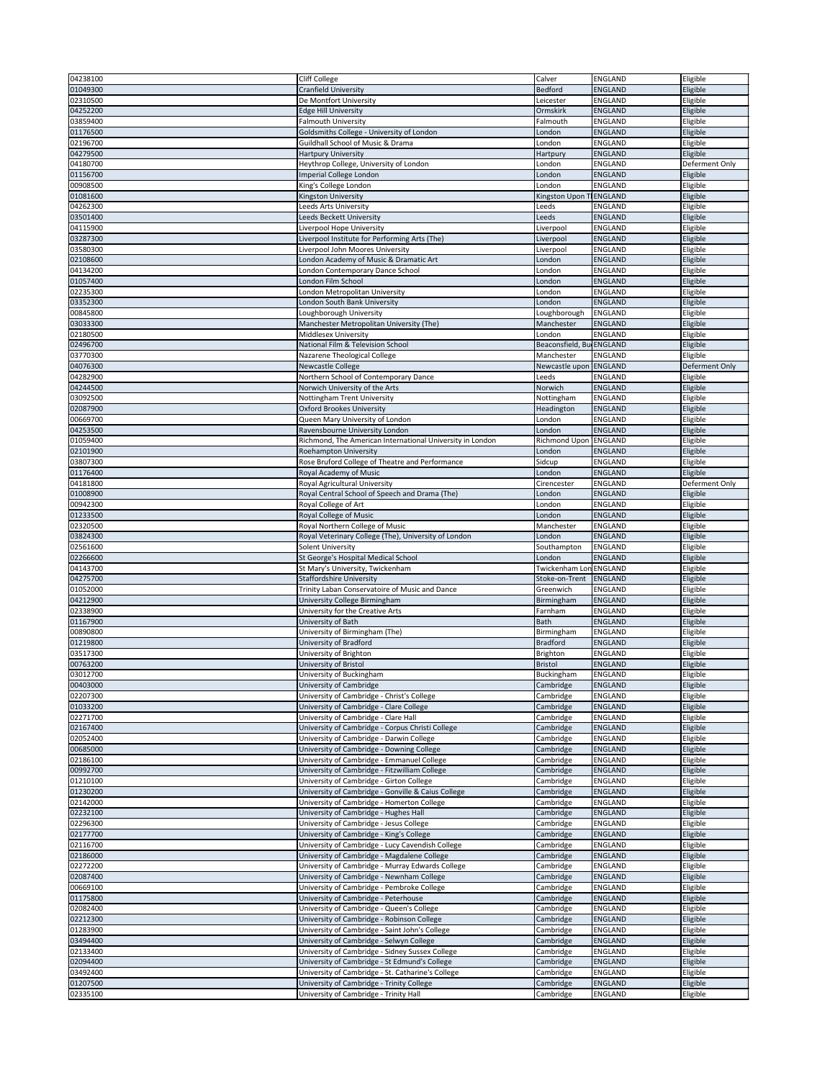| 04238100             | <b>Cliff College</b>                                                                | Calver                   | ENGLAND                          | Eligible             |
|----------------------|-------------------------------------------------------------------------------------|--------------------------|----------------------------------|----------------------|
|                      |                                                                                     |                          |                                  |                      |
| 01049300             | <b>Cranfield University</b>                                                         | <b>Bedford</b>           | <b>ENGLAND</b>                   | Eligible             |
| 02310500             | De Montfort University                                                              | Leicester                | <b>ENGLAND</b>                   | Eligible             |
| 04252200             | <b>Edge Hill University</b>                                                         | Ormskirk                 | <b>ENGLAND</b>                   | Eligible             |
| 03859400             | <b>Falmouth University</b>                                                          | Falmouth                 | <b>ENGLAND</b>                   | Eligible             |
| 01176500             | Goldsmiths College - University of London                                           | London                   | <b>ENGLAND</b>                   | Eligible             |
|                      |                                                                                     |                          |                                  |                      |
| 02196700             | <b>Guildhall School of Music &amp; Drama</b>                                        | London                   | <b>ENGLAND</b>                   | Eligible             |
| 04279500             | <b>Hartpury University</b>                                                          | Hartpury                 | ENGLAND                          | Eligible             |
| 04180700             | Heythrop College, University of London                                              | London                   | <b>ENGLAND</b>                   | Deferment Only       |
| 01156700             | Imperial College London                                                             | London                   | <b>ENGLAND</b>                   | Eligible             |
| 00908500             | King's College London                                                               | London                   | <b>ENGLAND</b>                   | Eligible             |
| 01081600             | Kingston University                                                                 | Kingston Upon TENGLAND   |                                  | Eligible             |
|                      |                                                                                     |                          |                                  |                      |
| 04262300             | Leeds Arts University                                                               | Leeds                    | <b>ENGLAND</b>                   | Eligible             |
| 03501400             | Leeds Beckett University                                                            | Leeds                    | <b>ENGLAND</b>                   | Eligible             |
| 04115900             | Liverpool Hope University                                                           | Liverpool                | ENGLAND                          | Eligible             |
| 03287300             | Liverpool Institute for Performing Arts (The)                                       | Liverpool                | <b>ENGLAND</b>                   | Eligible             |
| 03580300             | Liverpool John Moores University                                                    | Liverpool                | <b>ENGLAND</b>                   | Eligible             |
| 02108600             | London Academy of Music & Dramatic Art                                              | London                   | <b>ENGLAND</b>                   | Eligible             |
|                      |                                                                                     |                          |                                  |                      |
| 04134200             | London Contemporary Dance School                                                    | London                   | <b>ENGLAND</b>                   | Eligible             |
| 01057400             | London Film School                                                                  | London                   | <b>ENGLAND</b>                   | Eligible             |
| 02235300             | London Metropolitan University                                                      | London                   | <b>ENGLAND</b>                   | Eligible             |
| 03352300             | London South Bank University                                                        | London                   | <b>ENGLAND</b>                   | Eligible             |
| 00845800             | Loughborough University                                                             | Loughborough             | ENGLAND                          | Eligible             |
| 03033300             | Manchester Metropolitan University (The)                                            | Manchester               | <b>ENGLAND</b>                   | Eligible             |
| 02180500             | <b>Middlesex University</b>                                                         | London                   | <b>ENGLAND</b>                   | Eligible             |
| 02496700             | National Film & Television School                                                   | Beaconsfield, Bu ENGLAND |                                  |                      |
|                      |                                                                                     |                          |                                  | Eligible             |
| 03770300             | Nazarene Theological College                                                        | Manchester               | <b>ENGLAND</b>                   | Eligible             |
| 04076300             | Newcastle College                                                                   | Newcastle upon ENGLAND   |                                  | Deferment Only       |
| 04282900             | Northern School of Contemporary Dance                                               | Leeds                    | <b>ENGLAND</b>                   | Eligible             |
| 04244500             | Norwich University of the Arts                                                      | Norwich                  | <b>ENGLAND</b>                   | Eligible             |
| 03092500             | Nottingham Trent University                                                         | Nottingham               | <b>ENGLAND</b>                   | Eligible             |
| 02087900             | <b>Oxford Brookes University</b>                                                    | Headington               | ENGLAND                          | Eligible             |
|                      |                                                                                     |                          |                                  |                      |
| 00669700             | Queen Mary University of London                                                     | London                   | <b>ENGLAND</b>                   | Eligible             |
| 04253500             | Ravensbourne University London                                                      | London                   | <b>ENGLAND</b>                   | Eligible             |
| 01059400             | Richmond, The American International University in London                           | <b>Richmond Upon</b>     | <b>ENGLAND</b>                   | Eligible             |
| 02101900             | Roehampton University                                                               | London                   | <b>ENGLAND</b>                   | Eligible             |
| 03807300             | Rose Bruford College of Theatre and Performance                                     | Sidcup                   | <b>ENGLAND</b>                   | Eligible             |
| 01176400             | Royal Academy of Music                                                              | London                   | <b>ENGLAND</b>                   | Eligible             |
|                      |                                                                                     |                          |                                  |                      |
| 04181800             | Royal Agricultural University                                                       | Cirencester              | <b>ENGLAND</b>                   | Deferment Only       |
| 01008900             | Royal Central School of Speech and Drama (The)                                      | London                   | <b>ENGLAND</b>                   | Eligible             |
| 00942300             | Royal College of Art                                                                | London                   | <b>ENGLAND</b>                   | Eligible             |
| 01233500             | Royal College of Music                                                              | London                   | <b>ENGLAND</b>                   | Eligible             |
| 02320500             | Royal Northern College of Music                                                     | Manchester               | <b>ENGLAND</b>                   | Eligible             |
|                      | Royal Veterinary College (The), University of London                                | London                   | <b>ENGLAND</b>                   | Eligible             |
|                      |                                                                                     |                          |                                  |                      |
| 03824300             |                                                                                     |                          |                                  |                      |
| 02561600             | <b>Solent University</b>                                                            | Southampton              | ENGLAND                          | Eligible             |
| 02266600             | St George's Hospital Medical School                                                 | London                   | <b>ENGLAND</b>                   | Eligible             |
| 04143700             | St Mary's University, Twickenham                                                    | Twickenham Lon ENGLAND   |                                  | Eligible             |
| 04275700             | <b>Staffordshire University</b>                                                     | Stoke-on-Trent           | ENGLAND                          | Eligible             |
| 01052000             |                                                                                     | Greenwich                | <b>ENGLAND</b>                   |                      |
|                      | Trinity Laban Conservatoire of Music and Dance                                      |                          |                                  | Eligible             |
| 04212900             | University College Birmingham                                                       | Birmingham               | ENGLAND                          | Eligible             |
| 02338900             | University for the Creative Arts                                                    | Farnham                  | <b>ENGLAND</b>                   | Eligible             |
| 01167900             | University of Bath                                                                  | <b>Bath</b>              | <b>ENGLAND</b>                   | Eligible             |
| 00890800             | University of Birmingham (The)                                                      | Birmingham               | <b>ENGLAND</b>                   | Eligible             |
| 01219800             | University of Bradford                                                              | <b>Bradford</b>          | <b>ENGLAND</b>                   | Eligible             |
| 03517300             | University of Brighton                                                              | Brighton                 | ENGLAND                          | Eligible             |
| 00763200             | University of Bristol                                                               | <b>Bristol</b>           | <b>ENGLAND</b>                   | Eligible             |
|                      |                                                                                     |                          |                                  |                      |
| 03012700             | University of Buckingham                                                            | Buckingham               | <b>ENGLAND</b>                   | Eligible             |
| 00403000             | University of Cambridge                                                             | Cambridge                | <b>ENGLAND</b>                   | Eligible             |
| 02207300             | University of Cambridge - Christ's College                                          | Cambridge                | <b>ENGLAND</b>                   | Eligible             |
| 01033200             | University of Cambridge - Clare College                                             | Cambridge                | ENGLAND                          | Eligible             |
| 02271700             | University of Cambridge - Clare Hall                                                | Cambridge                | <b>ENGLAND</b>                   | Eligible             |
| 02167400             | University of Cambridge - Corpus Christi College                                    | Cambridge                | <b>ENGLAND</b>                   | Eligible             |
| 02052400             | University of Cambridge - Darwin College                                            | Cambridge                | ENGLAND                          | Eligible             |
| 00685000             | University of Cambridge - Downing College                                           | Cambridge                | <b>ENGLAND</b>                   | Eligible             |
|                      |                                                                                     |                          |                                  |                      |
| 02186100             | University of Cambridge - Emmanuel College                                          | Cambridge                | <b>ENGLAND</b>                   | Eligible             |
| 00992700             | University of Cambridge - Fitzwilliam College                                       | Cambridge                | <b>ENGLAND</b>                   | Eligible             |
| 01210100             | University of Cambridge - Girton College                                            | Cambridge                | <b>ENGLAND</b>                   | Eligible             |
| 01230200             | University of Cambridge - Gonville & Caius College                                  | Cambridge                | <b>ENGLAND</b>                   | Eligible             |
| 02142000             | University of Cambridge - Homerton College                                          | Cambridge                | <b>ENGLAND</b>                   | Eligible             |
| 02232100             | University of Cambridge - Hughes Hall                                               | Cambridge                | <b>ENGLAND</b>                   | Eligible             |
| 02296300             | University of Cambridge - Jesus College                                             | Cambridge                | <b>ENGLAND</b>                   |                      |
|                      |                                                                                     |                          |                                  | Eligible             |
| 02177700             | University of Cambridge - King's College                                            | Cambridge                | ENGLAND                          | Eligible             |
| 02116700             | University of Cambridge - Lucy Cavendish College                                    | Cambridge                | <b>ENGLAND</b>                   | Eligible             |
| 02186000             | University of Cambridge - Magdalene College                                         | Cambridge                | <b>ENGLAND</b>                   | Eligible             |
| 02272200             | University of Cambridge - Murray Edwards College                                    | Cambridge                | <b>ENGLAND</b>                   | Eligible             |
| 02087400             | University of Cambridge - Newnham College                                           | Cambridge                | <b>ENGLAND</b>                   | Eligible             |
| 00669100             | University of Cambridge - Pembroke College                                          | Cambridge                | ENGLAND                          | Eligible             |
|                      |                                                                                     |                          |                                  |                      |
| 01175800             | University of Cambridge - Peterhouse                                                | Cambridge                | <b>ENGLAND</b>                   | Eligible             |
| 02082400             | University of Cambridge - Queen's College                                           | Cambridge                | <b>ENGLAND</b>                   | Eligible             |
| 02212300             | University of Cambridge - Robinson College                                          | Cambridge                | <b>ENGLAND</b>                   | Eligible             |
| 01283900             | University of Cambridge - Saint John's College                                      | Cambridge                | ENGLAND                          | Eligible             |
| 03494400             | University of Cambridge - Selwyn College                                            | Cambridge                | <b>ENGLAND</b>                   | Eligible             |
| 02133400             | University of Cambridge - Sidney Sussex College                                     | Cambridge                | ENGLAND                          | Eligible             |
|                      |                                                                                     |                          |                                  |                      |
| 02094400             | University of Cambridge - St Edmund's College                                       | Cambridge                | <b>ENGLAND</b>                   | Eligible             |
| 03492400             | University of Cambridge - St. Catharine's College                                   | Cambridge                | <b>ENGLAND</b>                   | Eligible             |
| 01207500<br>02335100 | University of Cambridge - Trinity College<br>University of Cambridge - Trinity Hall | Cambridge<br>Cambridge   | <b>ENGLAND</b><br><b>ENGLAND</b> | Eligible<br>Eligible |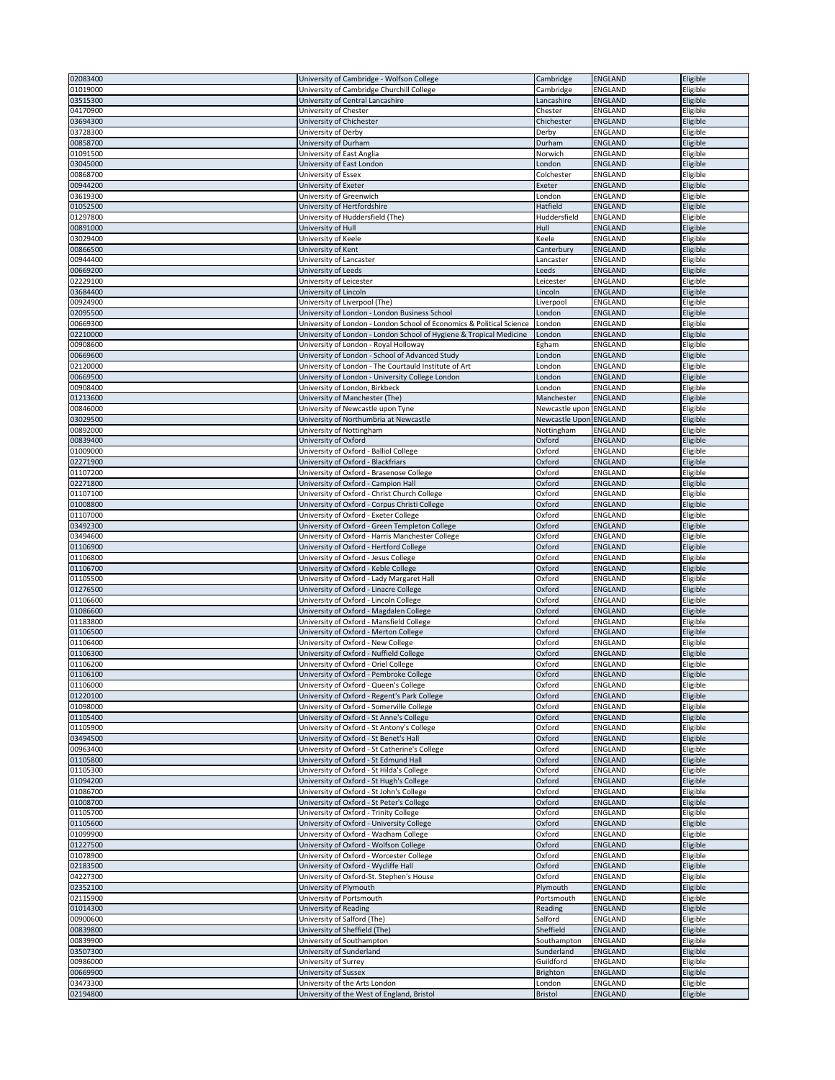| 02083400 | University of Cambridge - Wolfson College                             | Cambridge              | ENGLAND        | Eligible |
|----------|-----------------------------------------------------------------------|------------------------|----------------|----------|
| 01019000 |                                                                       |                        | <b>ENGLAND</b> | Eligible |
|          | University of Cambridge Churchill College                             | Cambridge              |                |          |
| 03515300 | University of Central Lancashire                                      | Lancashire             | <b>ENGLAND</b> | Eligible |
| 04170900 | University of Chester                                                 | Chester                | <b>ENGLAND</b> | Eligible |
| 03694300 | University of Chichester                                              | Chichester             | <b>ENGLAND</b> | Eligible |
| 03728300 | University of Derby                                                   | Derby                  | <b>ENGLAND</b> | Eligible |
| 00858700 | University of Durham                                                  | Durham                 | <b>ENGLAND</b> | Eligible |
|          |                                                                       |                        |                |          |
| 01091500 | University of East Anglia                                             | Norwich                | <b>ENGLAND</b> | Eligible |
| 03045000 | University of East London                                             | London                 | <b>ENGLAND</b> | Eligible |
| 00868700 | University of Essex                                                   | Colchester             | <b>ENGLAND</b> | Eligible |
| 00944200 | University of Exeter                                                  | Exeter                 | <b>ENGLAND</b> | Eligible |
| 03619300 | University of Greenwich                                               | London                 | <b>ENGLAND</b> | Eligible |
| 01052500 | University of Hertfordshire                                           | Hatfield               | <b>ENGLAND</b> | Eligible |
| 01297800 | University of Huddersfield (The)                                      | Huddersfield           | <b>ENGLAND</b> | Eligible |
| 00891000 | University of Hull                                                    | Hull                   | <b>ENGLAND</b> | Eligible |
|          |                                                                       |                        |                |          |
| 03029400 | University of Keele                                                   | Keele                  | <b>ENGLAND</b> | Eligible |
| 00866500 | University of Kent                                                    | Canterbury             | <b>ENGLAND</b> | Eligible |
| 00944400 | University of Lancaster                                               | Lancaster              | <b>ENGLAND</b> | Eligible |
| 00669200 | University of Leeds                                                   | Leeds                  | <b>ENGLAND</b> | Eligible |
| 02229100 | University of Leicester                                               | Leicester              | <b>ENGLAND</b> | Eligible |
| 03684400 | University of Lincoln                                                 | Lincoln                | <b>ENGLAND</b> | Eligible |
| 00924900 | University of Liverpool (The)                                         | Liverpool              | <b>ENGLAND</b> | Eligible |
| 02095500 | University of London - London Business School                         | London                 | ENGLAND        | Eligible |
| 00669300 | University of London - London School of Economics & Political Science |                        | <b>ENGLAND</b> |          |
|          |                                                                       | London                 |                | Eligible |
| 02210000 | University of London - London School of Hygiene & Tropical Medicine   | London                 | <b>ENGLAND</b> | Eligible |
| 00908600 | University of London - Royal Holloway                                 | Egham                  | <b>ENGLAND</b> | Eligible |
| 00669600 | University of London - School of Advanced Study                       | London                 | <b>ENGLAND</b> | Eligible |
| 02120000 | University of London - The Courtauld Institute of Art                 | London                 | <b>ENGLAND</b> | Eligible |
| 00669500 | University of London - University College London                      | London                 | <b>ENGLAND</b> | Eligible |
| 00908400 | University of London, Birkbeck                                        | London                 | <b>ENGLAND</b> | Eligible |
| 01213600 | University of Manchester (The)                                        | Manchester             | <b>ENGLAND</b> | Eligible |
| 00846000 |                                                                       | Newcastle upon ENGLAND |                |          |
|          | University of Newcastle upon Tyne                                     |                        |                | Eligible |
| 03029500 | University of Northumbria at Newcastle                                | Newcastle Upon ENGLAND |                | Eligible |
| 00892000 | University of Nottingham                                              | Nottingham             | <b>ENGLAND</b> | Eligible |
| 00839400 | University of Oxford                                                  | Oxford                 | <b>ENGLAND</b> | Eligible |
| 01009000 | University of Oxford - Balliol College                                | Oxford                 | <b>ENGLAND</b> | Eligible |
| 02271900 | University of Oxford - Blackfriars                                    | Oxford                 | <b>ENGLAND</b> | Eligible |
| 01107200 | University of Oxford - Brasenose College                              | Oxford                 | <b>ENGLAND</b> | Eligible |
| 02271800 | University of Oxford - Campion Hall                                   | Oxford                 | <b>ENGLAND</b> | Eligible |
|          |                                                                       |                        |                |          |
| 01107100 | University of Oxford - Christ Church College                          | Oxford                 | <b>ENGLAND</b> | Eligible |
| 01008800 | University of Oxford - Corpus Christi College                         | Oxford                 | <b>ENGLAND</b> | Eligible |
| 01107000 | University of Oxford - Exeter College                                 | Oxford                 | <b>ENGLAND</b> | Eligible |
| 03492300 | University of Oxford - Green Templeton College                        | Oxford                 | <b>ENGLAND</b> | Eligible |
| 03494600 | University of Oxford - Harris Manchester College                      | Oxford                 | <b>ENGLAND</b> | Eligible |
| 01106900 | University of Oxford - Hertford College                               | Oxford                 | <b>ENGLAND</b> | Eligible |
| 01106800 | University of Oxford - Jesus College                                  | Oxford                 | <b>ENGLAND</b> | Eligible |
| 01106700 |                                                                       | Oxford                 | <b>ENGLAND</b> |          |
|          | University of Oxford - Keble College                                  |                        |                | Eligible |
| 01105500 | University of Oxford - Lady Margaret Hall                             | Oxford                 | <b>ENGLAND</b> | Eligible |
| 01276500 | University of Oxford - Linacre College                                | Oxford                 | <b>ENGLAND</b> | Eligible |
| 01106600 | University of Oxford - Lincoln College                                | Oxford                 | <b>ENGLAND</b> | Eligible |
| 01086600 | University of Oxford - Magdalen College                               | Oxford                 | <b>ENGLAND</b> | Eligible |
| 01183800 | University of Oxford - Mansfield College                              | Oxford                 | <b>ENGLAND</b> | Eligible |
| 01106500 | University of Oxford - Merton College                                 | Oxford                 | <b>ENGLAND</b> | Eligible |
| 01106400 | University of Oxford - New College                                    | Oxford                 | <b>ENGLAND</b> | Eligible |
| 01106300 | University of Oxford - Nuffield College                               | Oxford                 | <b>ENGLAND</b> | Eligible |
|          |                                                                       |                        |                |          |
| 01106200 | University of Oxford - Oriel College                                  | Oxford                 | <b>ENGLAND</b> | Eligible |
| 01106100 | University of Oxford - Pembroke College                               | Oxford                 | <b>ENGLAND</b> | Eligible |
| 01106000 | University of Oxford - Queen's College                                | Oxford                 | <b>ENGLAND</b> | Eligible |
| 01220100 | University of Oxford - Regent's Park College                          | Oxford                 | <b>ENGLAND</b> | Eligible |
| 01098000 | University of Oxford - Somerville College                             | Oxford                 | <b>ENGLAND</b> | Eligible |
| 01105400 | University of Oxford - St Anne's College                              | Oxford                 | <b>ENGLAND</b> | Eligible |
| 01105900 | University of Oxford - St Antony's College                            | Oxford                 | <b>ENGLAND</b> | Eligible |
| 03494500 | University of Oxford - St Benet's Hall                                | Oxford                 | <b>ENGLAND</b> | Eligible |
| 00963400 | University of Oxford - St Catherine's College                         | Oxford                 | <b>ENGLAND</b> | Eligible |
|          |                                                                       | Oxford                 |                |          |
| 01105800 | University of Oxford - St Edmund Hall                                 |                        | <b>ENGLAND</b> | Eligible |
| 01105300 | University of Oxford - St Hilda's College                             | Oxford                 | <b>ENGLAND</b> | Eligible |
| 01094200 | University of Oxford - St Hugh's College                              | Oxford                 | <b>ENGLAND</b> | Eligible |
| 01086700 | University of Oxford - St John's College                              | Oxford                 | <b>ENGLAND</b> | Eligible |
| 01008700 | University of Oxford - St Peter's College                             | Oxford                 | <b>ENGLAND</b> | Eligible |
| 01105700 | University of Oxford - Trinity College                                | Oxford                 | <b>ENGLAND</b> | Eligible |
| 01105600 | University of Oxford - University College                             | Oxford                 | <b>ENGLAND</b> | Eligible |
| 01099900 | University of Oxford - Wadham College                                 | Oxford                 | <b>ENGLAND</b> | Eligible |
|          |                                                                       |                        |                |          |
| 01227500 | University of Oxford - Wolfson College                                | Oxford                 | <b>ENGLAND</b> | Eligible |
| 01078900 | University of Oxford - Worcester College                              | Oxford                 | <b>ENGLAND</b> | Eligible |
| 02183500 | University of Oxford - Wycliffe Hall                                  | Oxford                 | <b>ENGLAND</b> | Eligible |
| 04227300 | University of Oxford-St. Stephen's House                              | Oxford                 | <b>ENGLAND</b> | Eligible |
| 02352100 | University of Plymouth                                                | Plymouth               | <b>ENGLAND</b> | Eligible |
| 02115900 | University of Portsmouth                                              | Portsmouth             | <b>ENGLAND</b> | Eligible |
| 01014300 | University of Reading                                                 | Reading                | <b>ENGLAND</b> | Eligible |
| 00900600 | University of Salford (The)                                           | Salford                | <b>ENGLAND</b> | Eligible |
|          |                                                                       |                        |                |          |
| 00839800 | University of Sheffield (The)                                         | Sheffield              | <b>ENGLAND</b> | Eligible |
| 00839900 | University of Southampton                                             | Southampton            | <b>ENGLAND</b> | Eligible |
| 03507300 | University of Sunderland                                              | Sunderland             | <b>ENGLAND</b> | Eligible |
| 00986000 | University of Surrey                                                  | Guildford              | <b>ENGLAND</b> | Eligible |
| 00669900 | University of Sussex                                                  | Brighton               | <b>ENGLAND</b> | Eligible |
| 03473300 | University of the Arts London                                         | London                 | <b>ENGLAND</b> | Eligible |
| 02194800 | University of the West of England, Bristol                            | <b>Bristol</b>         | <b>ENGLAND</b> | Eligible |
|          |                                                                       |                        |                |          |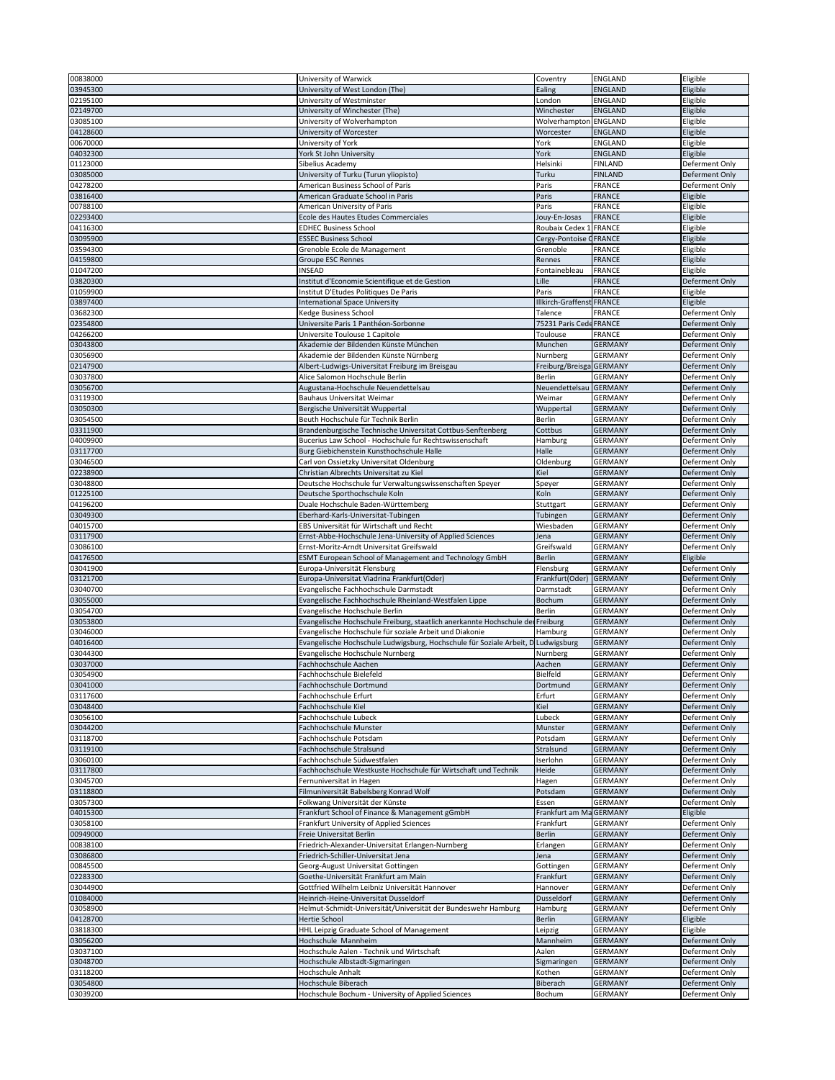| 00838000             | University of Warwick                                                          | Coventry                      | ENGLAND                   | Eligible                         |
|----------------------|--------------------------------------------------------------------------------|-------------------------------|---------------------------|----------------------------------|
|                      |                                                                                |                               |                           |                                  |
| 03945300             | University of West London (The)                                                | Ealing                        | <b>ENGLAND</b>            | Eligible                         |
| 02195100             | University of Westminster                                                      | London                        | <b>ENGLAND</b>            | Eligible                         |
| 02149700             | University of Winchester (The)                                                 | Winchester                    | ENGLAND                   | Eligible                         |
| 03085100             | University of Wolverhampton                                                    | Wolverhampton ENGLAND         |                           | Eligible                         |
|                      |                                                                                |                               |                           |                                  |
| 04128600             | University of Worcester                                                        | Worcester                     | ENGLAND                   | Eligible                         |
| 00670000             | University of York                                                             | York                          | <b>ENGLAND</b>            | Eligible                         |
| 04032300             | York St John University                                                        | York                          | <b>ENGLAND</b>            | Eligible                         |
| 01123000             | Sibelius Academy                                                               | Helsinki                      | <b>FINLAND</b>            | Deferment Only                   |
|                      |                                                                                |                               |                           |                                  |
| 03085000             | University of Turku (Turun yliopisto)                                          | Turku                         | <b>FINLAND</b>            | Deferment Only                   |
| 04278200             | American Business School of Paris                                              | Paris                         | <b>FRANCE</b>             | Deferment Only                   |
| 03816400             | American Graduate School in Paris                                              | Paris                         | <b>FRANCE</b>             | Eligible                         |
| 00788100             | American University of Paris                                                   | Paris                         | <b>FRANCE</b>             | Eligible                         |
|                      | Ecole des Hautes Etudes Commerciales                                           |                               | FRANCE                    | Eligible                         |
| 02293400             |                                                                                | Jouy-En-Josas                 |                           |                                  |
| 04116300             | <b>EDHEC Business School</b>                                                   | Roubaix Cedex 1 FRANCE        |                           | Eligible                         |
| 03095900             | <b>ESSEC Business School</b>                                                   | Cergy-Pontoise <b>GFRANCE</b> |                           | Eligible                         |
| 03594300             | Grenoble Ecole de Management                                                   | Grenoble                      | <b>FRANCE</b>             | Eligible                         |
| 04159800             | <b>Groupe ESC Rennes</b>                                                       | Rennes                        | <b>FRANCE</b>             | Eligible                         |
|                      | <b>INSEAD</b>                                                                  |                               |                           |                                  |
| 01047200             |                                                                                | Fontainebleau                 | FRANCE                    | Eligible                         |
| 03820300             | Institut d'Economie Scientifique et de Gestion                                 | Lille                         | <b>FRANCE</b>             | Deferment Only                   |
| 01059900             | Institut D'Etudes Politiques De Paris                                          | Paris                         | <b>FRANCE</b>             | Eligible                         |
| 03897400             | <b>International Space University</b>                                          | Illkirch-Graffenst FRANCE     |                           | Eligible                         |
| 03682300             | Kedge Business School                                                          | Talence                       | <b>FRANCE</b>             | Deferment Only                   |
|                      |                                                                                |                               |                           |                                  |
| 02354800             | Universite Paris 1 Panthéon-Sorbonne                                           | 75231 Paris Cede FRANCE       |                           | Deferment Only                   |
| 04266200             | Universite Toulouse 1 Capitole                                                 | Toulouse                      | <b>FRANCE</b>             | Deferment Only                   |
| 03043800             | Akademie der Bildenden Künste München                                          | Munchen                       | GERMANY                   | Deferment Only                   |
| 03056900             | Akademie der Bildenden Künste Nürnberg                                         | Nurnberg                      | <b>GERMANY</b>            | Deferment Only                   |
|                      |                                                                                |                               |                           |                                  |
| 02147900             | Albert-Ludwigs-Universitat Freiburg im Breisgau                                | Freiburg/Breisga GERMANY      |                           | Deferment Only                   |
| 03037800             | Alice Salomon Hochschule Berlin                                                | <b>Berlin</b>                 | <b>GERMANY</b>            | Deferment Only                   |
| 03056700             | Augustana-Hochschule Neuendettelsau                                            | Neuendettelsau                | <b>GERMANY</b>            | Deferment Only                   |
| 03119300             | <b>Bauhaus Universitat Weimar</b>                                              | Weimar                        | GERMANY                   | Deferment Only                   |
| 03050300             | Bergische Universität Wuppertal                                                |                               | <b>GERMANY</b>            | Deferment Only                   |
|                      |                                                                                | Wuppertal                     |                           |                                  |
| 03054500             | Beuth Hochschule für Technik Berlin                                            | <b>Berlin</b>                 | <b>GERMANY</b>            | Deferment Only                   |
| 03311900             | Brandenburgische Technische Universitat Cottbus-Senftenberg                    | Cottbus                       | <b>GERMANY</b>            | Deferment Only                   |
| 04009900             | Bucerius Law School - Hochschule fur Rechtswissenschaft                        | Hamburg                       | <b>GERMANY</b>            | Deferment Only                   |
| 03117700             | Burg Giebichenstein Kunsthochschule Halle                                      | Halle                         | <b>GERMANY</b>            | Deferment Only                   |
|                      |                                                                                |                               |                           |                                  |
| 03046500             | Carl von Ossietzky Universitat Oldenburg                                       | Oldenburg                     | <b>GERMANY</b>            | Deferment Only                   |
| 02238900             | Christian Albrechts Universitat zu Kiel                                        | Kiel                          | <b>GERMANY</b>            | Deferment Only                   |
| 03048800             | Deutsche Hochschule fur Verwaltungswissenschaften Speyer                       | Speyer                        | <b>GERMANY</b>            | Deferment Only                   |
| 01225100             | Deutsche Sporthochschule Koln                                                  | Koln                          | <b>GERMANY</b>            | Deferment Only                   |
|                      |                                                                                |                               |                           |                                  |
| 04196200             | Duale Hochschule Baden-Württemberg                                             | Stuttgart                     | <b>GERMANY</b>            | Deferment Only                   |
| 03049300             | Eberhard-Karls-Universitat-Tubingen                                            | Tubingen                      | <b>GERMANY</b>            | Deferment Only                   |
| 04015700             | EBS Universität für Wirtschaft und Recht                                       | Wiesbaden                     | <b>GERMANY</b>            | Deferment Only                   |
| 03117900             | Ernst-Abbe-Hochschule Jena-University of Applied Sciences                      | Jena                          | <b>GERMANY</b>            | Deferment Only                   |
|                      |                                                                                |                               |                           |                                  |
| 03086100             | Ernst-Moritz-Arndt Universitat Greifswald                                      | Greifswald                    | <b>GERMANY</b>            | Deferment Only                   |
| 04176500             | ESMT European School of Management and Technology GmbH                         | <b>Berlin</b>                 | <b>GERMANY</b>            | Eligible                         |
| 03041900             | Europa-Universität Flensburg                                                   | Flensburg                     | <b>GERMANY</b>            | Deferment Only                   |
|                      |                                                                                | Frankfurt(Oder) GERMANY       |                           | Deferment Only                   |
|                      |                                                                                |                               |                           |                                  |
| 03121700             | Europa-Universitat Viadrina Frankfurt(Oder)                                    |                               |                           |                                  |
| 03040700             | Evangelische Fachhochschule Darmstadt                                          | Darmstadt                     | <b>GERMANY</b>            | Deferment Only                   |
| 03055000             | Evangelische Fachhochschule Rheinland-Westfalen Lippe                          | <b>Bochum</b>                 | <b>GERMANY</b>            | Deferment Only                   |
| 03054700             | Evangelische Hochschule Berlin                                                 | <b>Berlin</b>                 | <b>GERMANY</b>            | Deferment Only                   |
|                      |                                                                                |                               |                           |                                  |
| 03053800             | Evangelische Hochschule Freiburg, staatlich anerkannte Hochschule der Freiburg |                               | <b>GERMANY</b>            | Deferment Only                   |
| 03046000             | Evangelische Hochschule für soziale Arbeit und Diakonie                        | Hamburg                       | GERMANY                   | Deferment Only                   |
| 04016400             | Evangelische Hochschule Ludwigsburg, Hochschule für Soziale Arbeit, D          | Ludwigsburg                   | <b>GERMANY</b>            | Deferment Only                   |
| 03044300             | Evangelische Hochschule Nurnberg                                               | Nurnberg                      | <b>GERMANY</b>            | Deferment Only                   |
| 03037000             | <b>Fachhochschule Aachen</b>                                                   | Aachen                        | <b>GERMANY</b>            | Deferment Only                   |
|                      |                                                                                |                               |                           |                                  |
| 03054900             | Fachhochschule Bielefeld                                                       | <b>Bielfeld</b>               | <b>GERMANY</b>            | Deferment Only                   |
| 03041000             | Fachhochschule Dortmund                                                        | Dortmund                      | <b>GERMANY</b>            | Deferment Only                   |
| 03117600             | Fachhochschule Erfurt                                                          | Erfurt                        | <b>GERMANY</b>            | Deferment Only                   |
| 03048400             | Fachhochschule Kiel                                                            | Kiel                          | <b>GERMANY</b>            | Deferment Only                   |
| 03056100             | Fachhochschule Lubeck                                                          | Lubeck                        | <b>GERMANY</b>            | Deferment Only                   |
|                      |                                                                                |                               |                           |                                  |
| 03044200             | Fachhochschule Munster                                                         | Munster                       | GERMANY                   | Deferment Only                   |
| 03118700             | Fachhochschule Potsdam                                                         | Potsdam                       | GERMANY                   | Deferment Only                   |
| 03119100             | Fachhochschule Stralsund                                                       | Stralsund                     | <b>GERMANY</b>            | Deferment Only                   |
| 03060100             | Fachhochschule Südwestfalen                                                    | Iserlohn                      | <b>GERMANY</b>            | Deferment Only                   |
| 03117800             | Fachhochschule Westkuste Hochschule für Wirtschaft und Technik                 | Heide                         | <b>GERMANY</b>            | Deferment Only                   |
|                      |                                                                                |                               |                           |                                  |
| 03045700             | Fernuniversitat in Hagen                                                       | Hagen                         | <b>GERMANY</b>            | Deferment Only                   |
| 03118800             | Filmuniversität Babelsberg Konrad Wolf                                         | Potsdam                       | <b>GERMANY</b>            | Deferment Only                   |
| 03057300             | Folkwang Universität der Künste                                                | Essen                         | <b>GERMANY</b>            | Deferment Only                   |
| 04015300             | Frankfurt School of Finance & Management gGmbH                                 | Frankfurt am MaGERMANY        |                           | Eligible                         |
| 03058100             | <b>Frankfurt University of Applied Sciences</b>                                | Frankfurt                     | <b>GERMANY</b>            | Deferment Only                   |
|                      |                                                                                |                               |                           |                                  |
| 00949000             | Freie Universitat Berlin                                                       | <b>Berlin</b>                 | <b>GERMANY</b>            | Deferment Only                   |
| 00838100             | Friedrich-Alexander-Universitat Erlangen-Nurnberg                              | Erlangen                      | <b>GERMANY</b>            | Deferment Only                   |
| 03086800             | Friedrich-Schiller-Universitat Jena                                            | Jena                          | <b>GERMANY</b>            | Deferment Only                   |
| 00845500             | Georg-August Universitat Gottingen                                             | Gottingen                     | <b>GERMANY</b>            | Deferment Only                   |
|                      |                                                                                |                               |                           |                                  |
| 02283300             | Goethe-Universität Frankfurt am Main                                           | Frankfurt                     | <b>GERMANY</b>            | Deferment Only                   |
| 03044900             | Gottfried Wilhelm Leibniz Universität Hannover                                 | Hannover                      | <b>GERMANY</b>            | Deferment Only                   |
| 01084000             | Heinrich-Heine-Universitat Dusseldorf                                          | <b>Dusseldorf</b>             | <b>GERMANY</b>            | Deferment Only                   |
| 03058900             | Helmut-Schmidt-Universität/Universität der Bundeswehr Hamburg                  | <b>Hamburg</b>                | <b>GERMANY</b>            | Deferment Only                   |
| 04128700             | Hertie School                                                                  | <b>Berlin</b>                 | <b>GERMANY</b>            |                                  |
|                      |                                                                                |                               |                           | Eligible                         |
| 03818300             | HHL Leipzig Graduate School of Management                                      | Leipzig                       | <b>GERMANY</b>            | Eligible                         |
| 03056200             | Hochschule Mannheim                                                            | Mannheim                      | <b>GERMANY</b>            | Deferment Only                   |
| 03037100             | Hochschule Aalen - Technik und Wirtschaft                                      | Aalen                         | <b>GERMANY</b>            | Deferment Only                   |
| 03048700             | Hochschule Albstadt-Sigmaringen                                                | Sigmaringen                   | <b>GERMANY</b>            | Deferment Only                   |
|                      |                                                                                |                               |                           |                                  |
| 03118200             | Hochschule Anhalt                                                              | Kothen                        | <b>GERMANY</b>            | Deferment Only                   |
| 03054800<br>03039200 | Hochschule Biberach<br>Hochschule Bochum - University of Applied Sciences      | Biberach<br>Bochum            | <b>GERMANY</b><br>GERMANY | Deferment Only<br>Deferment Only |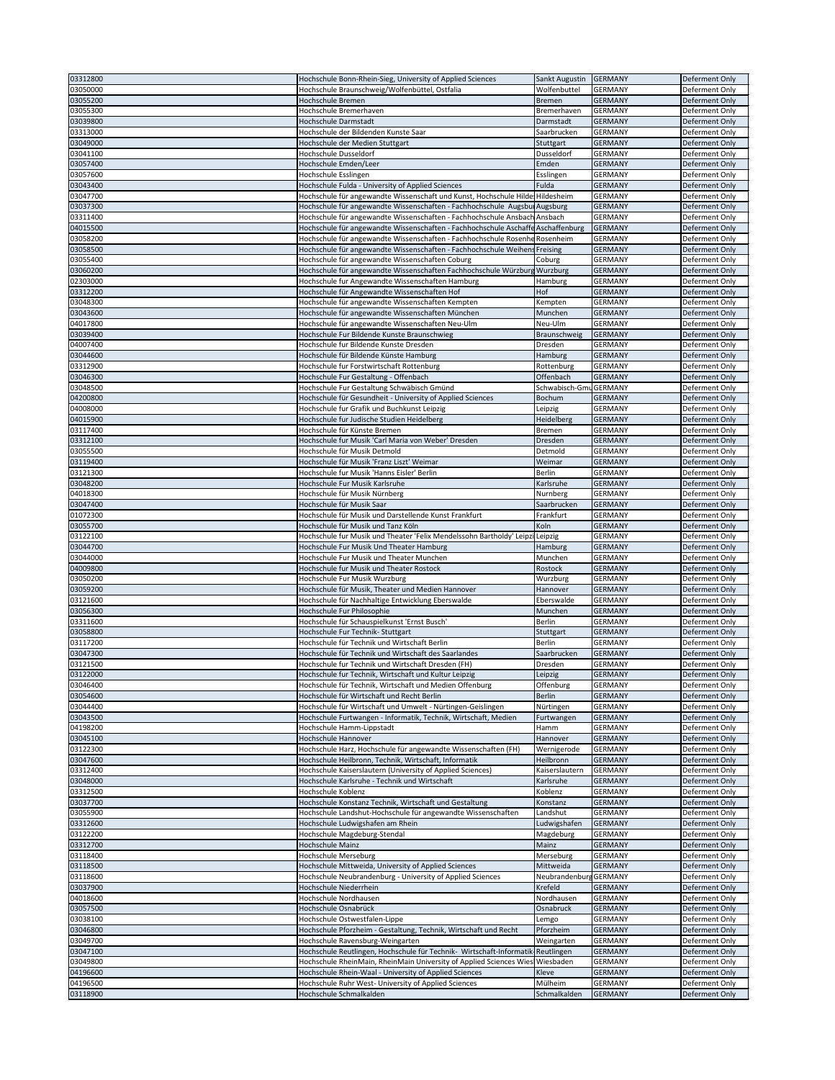| 03312800 | Hochschule Bonn-Rhein-Sieg, University of Applied Sciences                       | Sankt Augustin         | GERMANY        | Deferment Only        |
|----------|----------------------------------------------------------------------------------|------------------------|----------------|-----------------------|
|          |                                                                                  |                        |                |                       |
| 03050000 | Hochschule Braunschweig/Wolfenbüttel, Ostfalia                                   | Wolfenbuttel           | <b>GERMANY</b> | Deferment Only        |
| 03055200 | <b>Hochschule Bremen</b>                                                         | <b>Bremen</b>          | <b>GERMANY</b> | Deferment Only        |
| 03055300 | Hochschule Bremerhaven                                                           | Bremerhaven            | GERMANY        | Deferment Only        |
| 03039800 | Hochschule Darmstadt                                                             | Darmstadt              | <b>GERMANY</b> | Deferment Only        |
|          |                                                                                  |                        |                |                       |
| 03313000 | Hochschule der Bildenden Kunste Saar                                             | Saarbrucken            | <b>GERMANY</b> | Deferment Only        |
| 03049000 | Hochschule der Medien Stuttgart                                                  | Stuttgart              | <b>GERMANY</b> | Deferment Only        |
| 03041100 | Hochschule Dusseldorf                                                            | Dusseldorf             | <b>GERMANY</b> | Deferment Only        |
| 03057400 | Hochschule Emden/Leer                                                            | Emden                  | <b>GERMANY</b> | Deferment Only        |
|          |                                                                                  |                        |                |                       |
| 03057600 | Hochschule Esslingen                                                             | Esslingen              | <b>GERMANY</b> | Deferment Only        |
| 03043400 | Hochschule Fulda - University of Applied Sciences                                | Fulda                  | <b>GERMANY</b> | Deferment Only        |
| 03047700 | Hochschule für angewandte Wissenschaft und Kunst, Hochschule Hilde: Hildesheim   |                        | <b>GERMANY</b> | Deferment Only        |
|          |                                                                                  |                        |                |                       |
| 03037300 | Hochschule für angewandte Wissenschaften - Fachhochschule Augsbur Augsburg       |                        | <b>GERMANY</b> | Deferment Only        |
| 03311400 | Hochschule für angewandte Wissenschaften - Fachhochschule Ansbach Ansbach        |                        | <b>GERMANY</b> | Deferment Only        |
| 04015500 | Hochschule für angewandte Wissenschaften - Fachhochschule Aschaffe Aschaffenburg |                        | <b>GERMANY</b> | Deferment Only        |
| 03058200 | Hochschule für angewandte Wissenschaften - Fachhochschule Rosenhe Rosenheim      |                        | <b>GERMANY</b> | Deferment Only        |
|          |                                                                                  |                        |                |                       |
| 03058500 | Hochschule für angewandte Wissenschaften - Fachhochschule Weihens Freising       |                        | <b>GERMANY</b> | Deferment Only        |
| 03055400 | Hochschule für angewandte Wissenschaften Coburg                                  | Coburg                 | <b>GERMANY</b> | Deferment Only        |
| 03060200 | Hochschule für angewandte Wissenschaften Fachhochschule Würzburg Wurzburg        |                        | <b>GERMANY</b> | Deferment Only        |
| 02303000 | Hochschule fur Angewandte Wissenschaften Hamburg                                 |                        | <b>GERMANY</b> | Deferment Only        |
|          |                                                                                  | Hamburg                |                |                       |
| 03312200 | Hochschule für Angewandte Wissenschaften Hof                                     | Hof                    | <b>GERMANY</b> | Deferment Only        |
| 03048300 | Hochschule für angewandte Wissenschaften Kempten                                 | Kempten                | <b>GERMANY</b> | Deferment Only        |
| 03043600 | Hochschule für angewandte Wissenschaften München                                 | Munchen                | <b>GERMANY</b> | Deferment Only        |
|          |                                                                                  |                        |                |                       |
| 04017800 | Hochschule für angewandte Wissenschaften Neu-Ulm                                 | Neu-Ulm                | <b>GERMANY</b> | Deferment Only        |
| 03039400 | Hochschule Fur Bildende Kunste Braunschwieg                                      | Braunschweig           | <b>GERMANY</b> | Deferment Only        |
| 04007400 | Hochschule fur Bildende Kunste Dresden                                           | Dresden                | <b>GERMANY</b> | Deferment Only        |
|          |                                                                                  |                        |                |                       |
| 03044600 | Hochschule für Bildende Künste Hamburg                                           | Hamburg                | <b>GERMANY</b> | Deferment Only        |
| 03312900 | Hochschule fur Forstwirtschaft Rottenburg                                        | Rottenburg             | GERMANY        | Deferment Only        |
| 03046300 | Hochschule Fur Gestaltung - Offenbach                                            | Offenbach              | <b>GERMANY</b> | Deferment Only        |
| 03048500 | Hochschule Fur Gestaltung Schwäbisch Gmünd                                       | Schwabisch-GmuGERMANY  |                | Deferment Only        |
|          |                                                                                  |                        |                |                       |
| 04200800 | Hochschule für Gesundheit - University of Applied Sciences                       | Bochum                 | GERMANY        | Deferment Only        |
| 04008000 | Hochschule fur Grafik und Buchkunst Leipzig                                      | Leipzig                | <b>GERMANY</b> | Deferment Only        |
| 04015900 | Hochschule fur Judische Studien Heidelberg                                       | Heidelberg             | <b>GERMANY</b> | Deferment Only        |
|          |                                                                                  |                        |                |                       |
| 03117400 | Hochschule für Künste Bremen                                                     | Bremen                 | <b>GERMANY</b> | Deferment Only        |
| 03312100 | Hochschule fur Musik 'Carl Maria von Weber' Dresden                              | <b>Dresden</b>         | <b>GERMANY</b> | Deferment Only        |
| 03055500 | Hochschule für Musik Detmold                                                     | Detmold                | <b>GERMANY</b> | Deferment Only        |
|          | Hochschule für Musik 'Franz Liszt' Weimar                                        | Weimar                 | <b>GERMANY</b> |                       |
| 03119400 |                                                                                  |                        |                | Deferment Only        |
| 03121300 | Hochschule fur Musik 'Hanns Eisler' Berlin                                       | <b>Berlin</b>          | <b>GERMANY</b> | Deferment Only        |
| 03048200 | Hochschule Fur Musik Karlsruhe                                                   | Karlsruhe              | <b>GERMANY</b> | Deferment Only        |
| 04018300 | Hochschule für Musik Nürnberg                                                    | Nurnberg               | <b>GERMANY</b> | Deferment Only        |
|          |                                                                                  |                        |                |                       |
| 03047400 | Hochschule für Musik Saar                                                        | Saarbrucken            | GERMANY        | <b>Deferment Only</b> |
| 01072300 | Hochschule für Musik und Darstellende Kunst Frankfurt                            | Frankfurt              | <b>GERMANY</b> | Deferment Only        |
| 03055700 | Hochschule für Musik und Tanz Köln                                               | Koln                   | <b>GERMANY</b> | Deferment Only        |
|          |                                                                                  | Leipzig                | <b>GERMANY</b> | Deferment Only        |
|          | Hochschule fur Musik und Theater 'Felix Mendelssohn Bartholdy' Leipzi            |                        |                |                       |
| 03122100 |                                                                                  |                        |                |                       |
| 03044700 | Hochschule Fur Musik Und Theater Hamburg                                         | Hamburg                | <b>GERMANY</b> | Deferment Only        |
|          |                                                                                  |                        |                |                       |
| 03044000 | Hochschule Fur Musik und Theater Munchen                                         | Munchen                | <b>GERMANY</b> | Deferment Only        |
| 04009800 | Hochschule fur Musik und Theater Rostock                                         | Rostock                | <b>GERMANY</b> | Deferment Only        |
| 03050200 | Hochschule Fur Musik Wurzburg                                                    | Wurzburg               | GERMANY        | Deferment Only        |
| 03059200 | Hochschule für Musik, Theater und Medien Hannover                                | Hannover               | <b>GERMANY</b> | Deferment Only        |
|          |                                                                                  |                        |                |                       |
| 03121600 | Hochschule für Nachhaltige Entwicklung Eberswalde                                | Eberswalde             | <b>GERMANY</b> | Deferment Only        |
| 03056300 | Hochschule Fur Philosophie                                                       | Munchen                | <b>GERMANY</b> | Deferment Only        |
| 03311600 | Hochschule für Schauspielkunst 'Ernst Busch'                                     | <b>Berlin</b>          | <b>GERMANY</b> | Deferment Only        |
| 03058800 | Hochschule Fur Technik- Stuttgart                                                | Stuttgart              | <b>GERMANY</b> | <b>Deferment Only</b> |
|          |                                                                                  |                        |                |                       |
| 03117200 | Hochschule für Technik und Wirtschaft Berlin                                     | <b>Berlin</b>          | <b>GERMANY</b> | Deferment Only        |
| 03047300 | Hochschule für Technik und Wirtschaft des Saarlandes                             | Saarbrucken            | GERMANY        | Deferment Only        |
| 03121500 | Hochschule fur Technik und Wirtschaft Dresden (FH)                               | Dresden                | <b>GERMANY</b> | Deferment Only        |
| 03122000 | Hochschule fur Technik, Wirtschaft und Kultur Leipzig                            | Leipzig                | <b>GERMANY</b> | Deferment Only        |
|          |                                                                                  |                        |                |                       |
| 03046400 | Hochschule für Technik, Wirtschaft und Medien Offenburg                          | Offenburg              | <b>GERMANY</b> | Deferment Only        |
| 03054600 | Hochschule für Wirtschaft und Recht Berlin                                       | <b>Berlin</b>          | <b>GERMANY</b> | Deferment Only        |
| 03044400 | Hochschule für Wirtschaft und Umwelt - Nürtingen-Geislingen                      | Nürtingen              | <b>GERMANY</b> | Deferment Only        |
| 03043500 | Hochschule Furtwangen - Informatik, Technik, Wirtschaft, Medien                  | Furtwangen             | <b>GERMANY</b> | Deferment Only        |
|          |                                                                                  |                        |                |                       |
| 04198200 | Hochschule Hamm-Lippstadt                                                        | Hamm                   | <b>GERMANY</b> | Deferment Only        |
| 03045100 | Hochschule Hannover                                                              | Hannover               | GERMANY        | Deferment Only        |
| 03122300 | Hochschule Harz, Hochschule für angewandte Wissenschaften (FH)                   | Wernigerode            | <b>GERMANY</b> | Deferment Only        |
| 03047600 | Hochschule Heilbronn, Technik, Wirtschaft, Informatik                            | Heilbronn              | <b>GERMANY</b> | Deferment Only        |
|          |                                                                                  |                        |                |                       |
| 03312400 | Hochschule Kaiserslautern (University of Applied Sciences)                       | Kaiserslautern         | <b>GERMANY</b> | Deferment Only        |
| 03048000 | Hochschule Karlsruhe - Technik und Wirtschaft                                    | Karlsruhe              | <b>GERMANY</b> | Deferment Only        |
| 03312500 | Hochschule Koblenz                                                               | Koblenz                | <b>GERMANY</b> | Deferment Only        |
| 03037700 | Hochschule Konstanz Technik, Wirtschaft und Gestaltung                           | Konstanz               | <b>GERMANY</b> | Deferment Only        |
|          |                                                                                  |                        |                |                       |
| 03055900 | Hochschule Landshut-Hochschule für angewandte Wissenschaften                     | Landshut               | <b>GERMANY</b> | Deferment Only        |
| 03312600 | Hochschule Ludwigshafen am Rhein                                                 | Ludwigshafen           | <b>GERMANY</b> | Deferment Only        |
| 03122200 | Hochschule Magdeburg-Stendal                                                     | Magdeburg              | <b>GERMANY</b> | Deferment Only        |
|          | Hochschule Mainz                                                                 | Mainz                  | <b>GERMANY</b> |                       |
| 03312700 |                                                                                  |                        |                | Deferment Only        |
| 03118400 | <b>Hochschule Merseburg</b>                                                      | Merseburg              | <b>GERMANY</b> | Deferment Only        |
| 03118500 | Hochschule Mittweida, University of Applied Sciences                             | Mittweida              | <b>GERMANY</b> | Deferment Only        |
| 03118600 | Hochschule Neubrandenburg - University of Applied Sciences                       | Neubrandenburg GERMANY |                | Deferment Only        |
|          |                                                                                  |                        |                |                       |
| 03037900 | Hochschule Niederrhein                                                           | Krefeld                | GERMANY        | Deferment Only        |
| 04018600 | Hochschule Nordhausen                                                            | Nordhausen             | <b>GERMANY</b> | Deferment Only        |
| 03057500 | Hochschule Osnabrück                                                             | Osnabruck              | <b>GERMANY</b> | Deferment Only        |
|          |                                                                                  |                        |                |                       |
| 03038100 | Hochschule Ostwestfalen-Lippe                                                    | Lemgo                  | <b>GERMANY</b> | Deferment Only        |
| 03046800 | Hochschule Pforzheim - Gestaltung, Technik, Wirtschaft und Recht                 | Pforzheim              | <b>GERMANY</b> | Deferment Only        |
| 03049700 | Hochschule Ravensburg-Weingarten                                                 | Weingarten             | GERMANY        | Deferment Only        |
|          |                                                                                  |                        | <b>GERMANY</b> |                       |
| 03047100 | Hochschule Reutlingen, Hochschule für Technik- Wirtschaft-Informatik Reutlingen  |                        |                | Deferment Only        |
| 03049800 | Hochschule RheinMain, RheinMain University of Applied Sciences Wies Wiesbaden    |                        | <b>GERMANY</b> | Deferment Only        |
| 04196600 | Hochschule Rhein-Waal - University of Applied Sciences                           | Kleve                  | <b>GERMANY</b> | Deferment Only        |
| 04196500 | Hochschule Ruhr West- University of Applied Sciences                             | Mülheim                | <b>GERMANY</b> | Deferment Only        |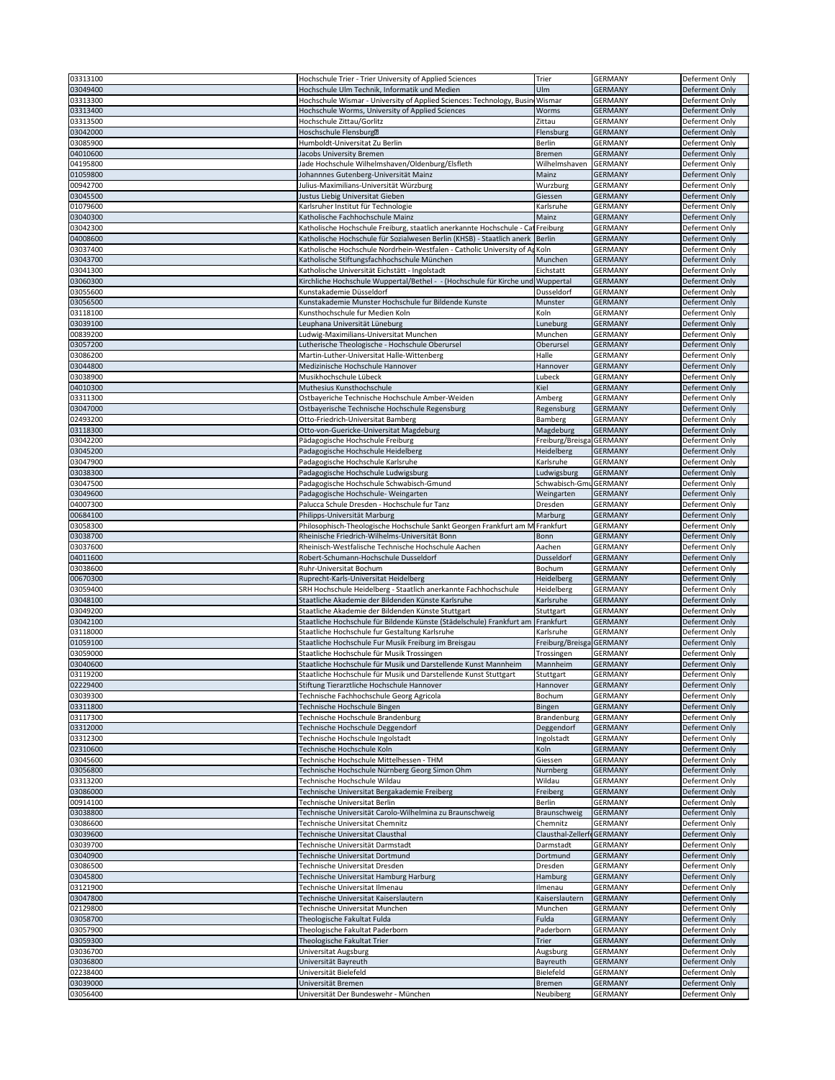| 03313100             | Hochschule Trier - Trier University of Applied Sciences                         | Trier                      | <b>GERMANY</b>                   | Deferment Only                   |
|----------------------|---------------------------------------------------------------------------------|----------------------------|----------------------------------|----------------------------------|
|                      |                                                                                 |                            |                                  |                                  |
| 03049400             | Hochschule Ulm Technik, Informatik und Medien                                   | Ulm                        | <b>GERMANY</b>                   | Deferment Only                   |
| 03313300             | Hochschule Wismar - University of Applied Sciences: Technology, Busin           | Wismar                     | <b>GERMANY</b>                   | Deferment Only                   |
|                      |                                                                                 |                            |                                  |                                  |
| 03313400             | Hochschule Worms, University of Applied Sciences                                | Worms                      | <b>GERMANY</b>                   | Deferment Only                   |
| 03313500             | Hochschule Zittau/Gorlitz                                                       | Zittau                     | <b>GERMANY</b>                   | Deferment Only                   |
| 03042000             | Hoschschule Flensburg <sup>2</sup>                                              | Flensburg                  | <b>GERMANY</b>                   | Deferment Only                   |
|                      |                                                                                 |                            |                                  |                                  |
| 03085900             | Humboldt-Universitat Zu Berlin                                                  | <b>Berlin</b>              | <b>GERMANY</b>                   | Deferment Only                   |
| 04010600             | Jacobs University Bremen                                                        | <b>Bremen</b>              | <b>GERMANY</b>                   | Deferment Only                   |
| 04195800             | Jade Hochschule Wilhelmshaven/Oldenburg/Elsfleth                                | Wilhelmshaven              | <b>GERMANY</b>                   | Deferment Only                   |
| 01059800             |                                                                                 |                            |                                  |                                  |
|                      | Johannnes Gutenberg-Universität Mainz                                           | Mainz                      | <b>GERMANY</b>                   | Deferment Only                   |
| 00942700             | Julius-Maximilians-Universität Würzburg                                         | Wurzburg                   | <b>GERMANY</b>                   | Deferment Only                   |
| 03045500             | Justus Liebig Universitat Gieben                                                | Giessen                    | <b>GERMANY</b>                   | Deferment Only                   |
| 01079600             | Karlsruher Institut für Technologie                                             | Karlsruhe                  | <b>GERMANY</b>                   | Deferment Only                   |
|                      |                                                                                 |                            |                                  |                                  |
| 03040300             | Katholische Fachhochschule Mainz                                                | Mainz                      | <b>GERMANY</b>                   | Deferment Only                   |
| 03042300             | Katholische Hochschule Freiburg, staatlich anerkannte Hochschule - Cat Freiburg |                            | <b>GERMANY</b>                   | Deferment Only                   |
| 04008600             | Katholische Hochschule für Sozialwesen Berlin (KHSB) - Staatlich anerk   Berlin |                            | <b>GERMANY</b>                   | Deferment Only                   |
| 03037400             | Katholische Hochschule Nordrhein-Westfalen - Catholic University of AdKoln      |                            | <b>GERMANY</b>                   | Deferment Only                   |
|                      |                                                                                 |                            |                                  |                                  |
| 03043700             | Katholische Stiftungsfachhochschule München                                     | Munchen                    | <b>GERMANY</b>                   | Deferment Only                   |
| 03041300             | Katholische Universität Eichstätt - Ingolstadt                                  | Eichstatt                  | <b>GERMANY</b>                   | Deferment Only                   |
| 03060300             | Kirchliche Hochschule Wuppertal/Bethel - - (Hochschule für Kirche und Wuppertal |                            | <b>GERMANY</b>                   | Deferment Only                   |
| 03055600             | Kunstakademie Düsseldorf                                                        | Dusseldorf                 | <b>GERMANY</b>                   | Deferment Only                   |
|                      |                                                                                 |                            |                                  |                                  |
| 03056500             | Kunstakademie Munster Hochschule fur Bildende Kunste                            | Munster                    | <b>GERMANY</b>                   | Deferment Only                   |
| 03118100             | Kunsthochschule fur Medien Koln                                                 | Koln                       | <b>GERMANY</b>                   | Deferment Only                   |
| 03039100             | Leuphana Universität Lüneburg                                                   | Luneburg                   | <b>GERMANY</b>                   | Deferment Only                   |
|                      |                                                                                 |                            |                                  |                                  |
| 00839200             | Ludwig-Maximilians-Universitat Munchen                                          | Munchen                    | <b>GERMANY</b>                   | Deferment Only                   |
| 03057200             | Lutherische Theologische - Hochschule Oberursel                                 | Oberursel                  | <b>GERMANY</b>                   | Deferment Only                   |
| 03086200             | Martin-Luther-Universitat Halle-Wittenberg                                      | Halle                      | <b>GERMANY</b>                   | Deferment Only                   |
| 03044800             | Medizinische Hochschule Hannover                                                | Hannover                   | <b>GERMANY</b>                   | Deferment Only                   |
|                      |                                                                                 |                            |                                  |                                  |
| 03038900             | Musikhochschule Lübeck                                                          | Lubeck                     | <b>GERMANY</b>                   | Deferment Only                   |
| 04010300             | Muthesius Kunsthochschule                                                       | Kiel                       | <b>GERMANY</b>                   | Deferment Only                   |
| 03311300             | Ostbayeriche Technische Hochschule Amber-Weiden                                 | Amberg                     | GERMANY                          | Deferment Only                   |
|                      |                                                                                 |                            |                                  |                                  |
| 03047000             | Ostbayerische Technische Hochschule Regensburg                                  | Regensburg                 | GERMANY                          | Deferment Only                   |
| 02493200             | Otto-Friedrich-Universitat Bamberg                                              | Bamberg                    | <b>GERMANY</b>                   | Deferment Only                   |
| 03118300             | Otto-von-Guericke-Universitat Magdeburg                                         | Magdeburg                  | <b>GERMANY</b>                   | Deferment Only                   |
| 03042200             | Pädagogische Hochschule Freiburg                                                | Freiburg/Breisga GERMANY   |                                  | Deferment Only                   |
|                      |                                                                                 |                            |                                  |                                  |
| 03045200             | Padagogische Hochschule Heidelberg                                              | <b>Heidelberg</b>          | <b>GERMANY</b>                   | Deferment Only                   |
| 03047900             | Padagogische Hochschule Karlsruhe                                               | Karlsruhe                  | <b>GERMANY</b>                   | Deferment Only                   |
| 03038300             | Padagogische Hochschule Ludwigsburg                                             | Ludwigsburg                | <b>GERMANY</b>                   | Deferment Only                   |
|                      |                                                                                 |                            |                                  |                                  |
| 03047500             | Padagogische Hochschule Schwabisch-Gmund                                        | Schwabisch-GmuGERMANY      |                                  | Deferment Only                   |
| 03049600             | Padagogische Hochschule- Weingarten                                             | Weingarten                 | <b>GERMANY</b>                   | Deferment Only                   |
| 04007300             | Palucca Schule Dresden - Hochschule fur Tanz                                    | Dresden                    | <b>GERMANY</b>                   | Deferment Only                   |
| 00684100             |                                                                                 | Marburg                    | <b>GERMANY</b>                   | Deferment Only                   |
|                      | Philipps-Universität Marburg                                                    |                            |                                  |                                  |
| 03058300             | Philosophisch-Theologische Hochschule Sankt Georgen Frankfurt am M Frankfurt    |                            | <b>GERMANY</b>                   | Deferment Only                   |
| 03038700             | Rheinische Friedrich-Wilhelms-Universität Bonn                                  | Bonn                       | <b>GERMANY</b>                   | Deferment Only                   |
|                      |                                                                                 |                            |                                  |                                  |
|                      |                                                                                 |                            |                                  |                                  |
| 03037600             | Rheinisch-Westfalische Technische Hochschule Aachen                             | Aachen                     | <b>GERMANY</b>                   | Deferment Only                   |
| 04011600             | Robert-Schumann-Hochschule Dusseldorf                                           | <b>Dusseldorf</b>          | <b>GERMANY</b>                   | Deferment Only                   |
| 03038600             | Ruhr-Universitat Bochum                                                         | <b>Bochum</b>              | <b>GERMANY</b>                   | Deferment Only                   |
| 00670300             | Ruprecht-Karls-Universitat Heidelberg                                           |                            | <b>GERMANY</b>                   | Deferment Only                   |
|                      |                                                                                 | <b>Heidelberg</b>          |                                  |                                  |
| 03059400             | SRH Hochschule Heidelberg - Staatlich anerkannte Fachhochschule                 | Heidelberg                 | <b>GERMANY</b>                   | Deferment Only                   |
| 03048100             | Staatliche Akademie der Bildenden Künste Karlsruhe                              | Karlsruhe                  | <b>GERMANY</b>                   | Deferment Only                   |
| 03049200             | Staatliche Akademie der Bildenden Künste Stuttgart                              | Stuttgart                  | <b>GERMANY</b>                   | Deferment Only                   |
| 03042100             |                                                                                 | Frankfurt                  | <b>GERMANY</b>                   | Deferment Only                   |
|                      | Staatliche Hochschule für Bildende Künste (Städelschule) Frankfurt am           |                            |                                  |                                  |
| 03118000             | Staatliche Hochschule fur Gestaltung Karlsruhe                                  | Karlsruhe                  | <b>GERMANY</b>                   | Deferment Only                   |
| 01059100             | Staatliche Hochschule Fur Musik Freiburg im Breisgau                            | Freiburg/Breisga GERMANY   |                                  | Deferment Only                   |
| 03059000             | Staatliche Hochschule für Musik Trossingen                                      | Trossingen                 | <b>GERMANY</b>                   | Deferment Only                   |
| 03040600             | Staatliche Hochschule für Musik und Darstellende Kunst Mannheim                 | Mannheim                   | <b>GERMANY</b>                   | Deferment Only                   |
|                      |                                                                                 |                            | <b>GERMANY</b>                   |                                  |
| 03119200             | Staatliche Hochschule für Musik und Darstellende Kunst Stuttgart                | Stuttgart                  |                                  | Deferment Only                   |
| 02229400             | Stiftung Tierarztliche Hochschule Hannover                                      | Hannover                   | GERMANY                          | Deferment Only                   |
| 03039300             | Technische Fachhochschule Georg Agricola                                        | Bochum                     | <b>GERMANY</b>                   | Deferment Only                   |
| 03311800             | Technische Hochschule Bingen                                                    | Bingen                     | <b>GERMANY</b>                   | Deferment Only                   |
| 03117300             | Technische Hochschule Brandenburg                                               | Brandenburg                | <b>GERMANY</b>                   | Deferment Only                   |
|                      |                                                                                 |                            |                                  |                                  |
| 03312000             | Technische Hochschule Deggendorf                                                | Deggendorf                 | GERMANY                          | Deferment Only                   |
| 03312300             | Technische Hochschule Ingolstadt                                                | Ingolstadt                 | GERMANY                          | Deferment Only                   |
| 02310600             | Technische Hochschule Koln                                                      | Koln                       | <b>GERMANY</b>                   | Deferment Only                   |
| 03045600             | Technische Hochschule Mittelhessen - THM                                        | Giessen                    | <b>GERMANY</b>                   | Deferment Only                   |
|                      |                                                                                 |                            |                                  |                                  |
| 03056800             | Technische Hochschule Nürnberg Georg Simon Ohm                                  | Nurnberg                   | <b>GERMANY</b>                   | Deferment Only                   |
| 03313200             | Technische Hochschule Wildau                                                    | Wildau                     | <b>GERMANY</b>                   | Deferment Only                   |
| 03086000             | Technische Universitat Bergakademie Freiberg                                    | Freiberg                   | <b>GERMANY</b>                   | Deferment Only                   |
| 00914100             | Technische Universitat Berlin                                                   | <b>Berlin</b>              | <b>GERMANY</b>                   | Deferment Only                   |
|                      |                                                                                 |                            |                                  |                                  |
| 03038800             | Technische Universität Carolo-Wilhelmina zu Braunschweig                        | Braunschweig               | <b>GERMANY</b>                   | Deferment Only                   |
| 03086600             | Technische Universitat Chemnitz                                                 | Chemnitz                   | <b>GERMANY</b>                   | Deferment Only                   |
| 03039600             | Technische Universitat Clausthal                                                | Clausthal-ZellerfdGERMANY  |                                  | Deferment Only                   |
| 03039700             | Technische Universität Darmstadt                                                | Darmstadt                  | <b>GERMANY</b>                   | Deferment Only                   |
|                      |                                                                                 |                            |                                  |                                  |
| 03040900             | Technische Universitat Dortmund                                                 | Dortmund                   | <b>GERMANY</b>                   | Deferment Only                   |
| 03086500             | Technische Universitat Dresden                                                  | Dresden                    | <b>GERMANY</b>                   | Deferment Only                   |
| 03045800             | Technische Universitat Hamburg Harburg                                          | Hamburg                    | <b>GERMANY</b>                   | Deferment Only                   |
| 03121900             | Technische Universitat Ilmenau                                                  | Ilmenau                    | <b>GERMANY</b>                   | Deferment Only                   |
|                      |                                                                                 |                            |                                  |                                  |
| 03047800             | Technische Universitat Kaiserslautern                                           | Kaiserslautern             | <b>GERMANY</b>                   | Deferment Only                   |
| 02129800             | Technische Universitat Munchen                                                  | Munchen                    | <b>GERMANY</b>                   | Deferment Only                   |
| 03058700             | Theologische Fakultat Fulda                                                     | Fulda                      | <b>GERMANY</b>                   | Deferment Only                   |
|                      |                                                                                 |                            |                                  |                                  |
| 03057900             | Theologische Fakultat Paderborn                                                 | Paderborn                  | <b>GERMANY</b>                   | Deferment Only                   |
| 03059300             | Theologische Fakultat Trier                                                     | <b>Trier</b>               | <b>GERMANY</b>                   | Deferment Only                   |
| 03036700             | Universitat Augsburg                                                            | Augsburg                   | <b>GERMANY</b>                   | Deferment Only                   |
| 03036800             | Universität Bayreuth                                                            | Bayreuth                   | GERMANY                          | Deferment Only                   |
|                      |                                                                                 |                            |                                  |                                  |
| 02238400             | Universität Bielefeld                                                           | Bielefeld                  | <b>GERMANY</b>                   | Deferment Only                   |
| 03039000<br>03056400 | Universität Bremen<br>Universität Der Bundeswehr - München                      | <b>Bremen</b><br>Neubiberg | <b>GERMANY</b><br><b>GERMANY</b> | Deferment Only<br>Deferment Only |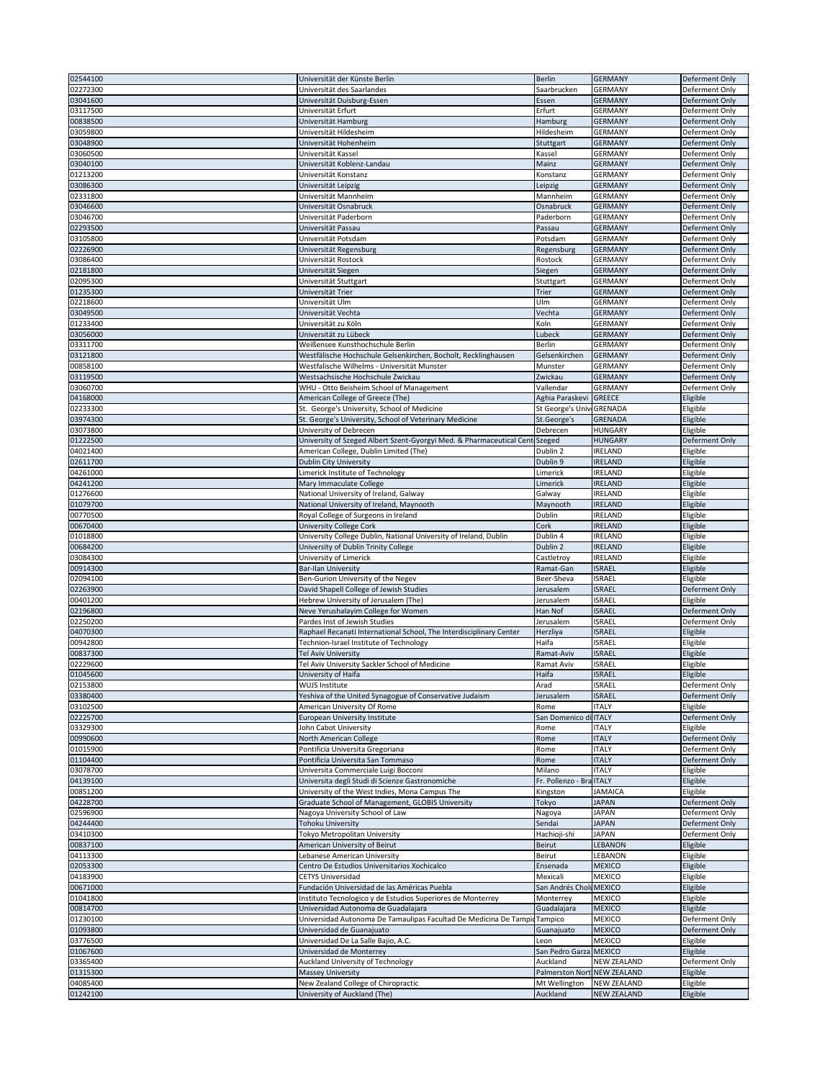| 02544100 | Universität der Künste Berlin                                               | <b>Berlin</b>               | <b>GERMANY</b>     | Deferment Only        |
|----------|-----------------------------------------------------------------------------|-----------------------------|--------------------|-----------------------|
| 02272300 | Universität des Saarlandes                                                  | Saarbrucken                 | <b>GERMANY</b>     | Deferment Only        |
|          |                                                                             |                             |                    |                       |
| 03041600 | Universität Duisburg-Essen                                                  | Essen                       | <b>GERMANY</b>     | Deferment Only        |
| 03117500 | Universität Erfurt                                                          | Erfurt                      | <b>GERMANY</b>     | Deferment Only        |
| 00838500 | Universität Hamburg                                                         | Hamburg                     | <b>GERMANY</b>     | Deferment Only        |
| 03059800 | Universität Hildesheim                                                      | Hildesheim                  | <b>GERMANY</b>     | Deferment Only        |
| 03048900 | Universität Hohenheim                                                       | Stuttgart                   | <b>GERMANY</b>     | Deferment Only        |
|          | Universität Kassel                                                          | Kassel                      | <b>GERMANY</b>     | Deferment Only        |
| 03060500 |                                                                             |                             |                    |                       |
| 03040100 | Universität Koblenz-Landau                                                  | Mainz                       | <b>GERMANY</b>     | <b>Deferment Only</b> |
| 01213200 | Universität Konstanz                                                        | Konstanz                    | <b>GERMANY</b>     | Deferment Only        |
| 03086300 | Universität Leipzig                                                         | Leipzig                     | <b>GERMANY</b>     | Deferment Only        |
| 02331800 | Universität Mannheim                                                        | Mannheim                    | <b>GERMANY</b>     | Deferment Only        |
| 03046600 | Universität Osnabruck                                                       | Osnabruck                   | <b>GERMANY</b>     | Deferment Only        |
| 03046700 | Universität Paderborn                                                       | Paderborn                   | <b>GERMANY</b>     | Deferment Only        |
| 02293500 | Universität Passau                                                          | Passau                      | <b>GERMANY</b>     | Deferment Only        |
| 03105800 | Universität Potsdam                                                         | Potsdam                     | <b>GERMANY</b>     |                       |
|          |                                                                             |                             |                    | Deferment Only        |
| 02226900 | Universität Regensburg                                                      | Regensburg                  | <b>GERMANY</b>     | Deferment Only        |
| 03086400 | Universität Rostock                                                         | Rostock                     | <b>GERMANY</b>     | Deferment Only        |
| 02181800 | Universität Siegen                                                          | Siegen                      | <b>GERMANY</b>     | Deferment Only        |
| 02095300 | Universität Stuttgart                                                       | Stuttgart                   | <b>GERMANY</b>     | Deferment Only        |
| 01235300 | Universität Trier                                                           | <b>Trier</b>                | <b>GERMANY</b>     | Deferment Only        |
| 02218600 | Universität Ulm                                                             | Ulm                         | <b>GERMANY</b>     | Deferment Only        |
| 03049500 | Universität Vechta                                                          | Vechta                      | <b>GERMANY</b>     | Deferment Only        |
|          |                                                                             |                             |                    |                       |
| 01233400 | Universität zu Köln                                                         | Koln                        | <b>GERMANY</b>     | Deferment Only        |
| 03056000 | Universität zu Lübeck                                                       | Lubeck                      | <b>GERMANY</b>     | Deferment Only        |
| 03311700 | Weißensee Kunsthochschule Berlin                                            | <b>Berlin</b>               | <b>GERMANY</b>     | Deferment Only        |
| 03121800 | Westfälische Hochschule Gelsenkirchen, Bocholt, Recklinghausen              | Gelsenkirchen               | <b>GERMANY</b>     | Deferment Only        |
| 00858100 | Westfalische Wilhelms - Universität Munster                                 | Munster                     | <b>GERMANY</b>     | Deferment Only        |
| 03119500 | Westsachsische Hochschule Zwickau                                           | Zwickau                     | <b>GERMANY</b>     | Deferment Only        |
| 03060700 | WHU - Otto Beisheim School of Management                                    | Vallendar                   | <b>GERMANY</b>     | Deferment Only        |
| 04168000 | American College of Greece (The)                                            | Aghia Paraskevi GREECE      |                    | Eligible              |
|          |                                                                             |                             |                    |                       |
| 02233300 | St. George's University, School of Medicine                                 | St George's Univ GRENADA    |                    | Eligible              |
| 03974300 | St. George's University, School of Veterinary Medicine                      | St.George's                 | GRENADA            | Eligible              |
| 03073800 | University of Debrecen                                                      | Debrecen                    | <b>HUNGARY</b>     | Eligible              |
| 01222500 | University of Szeged Albert Szent-Gyorgyi Med. & Pharmaceutical Cent Szeged |                             | <b>HUNGARY</b>     | Deferment Only        |
| 04021400 | American College, Dublin Limited (The)                                      | Dublin 2                    | <b>IRELAND</b>     | Eligible              |
| 02611700 | <b>Dublin City University</b>                                               | Dublin 9                    | <b>IRELAND</b>     | Eligible              |
| 04261000 | Limerick Institute of Technology                                            | Limerick                    | <b>IRELAND</b>     | Eligible              |
| 04241200 | Mary Immaculate College                                                     | Limerick                    | <b>IRELAND</b>     | Eligible              |
|          |                                                                             |                             |                    |                       |
| 01276600 | National University of Ireland, Galway                                      | Galway                      | <b>IRELAND</b>     | Eligible              |
| 01079700 | National University of Ireland, Maynooth                                    | Maynooth                    | <b>IRELAND</b>     | Eligible              |
| 00770500 | Royal College of Surgeons in Ireland                                        | <b>Dublin</b>               | <b>IRELAND</b>     | Eligible              |
| 00670400 | <b>University College Cork</b>                                              | Cork                        | <b>IRELAND</b>     | Eligible              |
| 01018800 | University College Dublin, National University of Ireland, Dublin           | Dublin 4                    | <b>IRELAND</b>     | Eligible              |
| 00684200 | University of Dublin Trinity College                                        | Dublin 2                    | <b>IRELAND</b>     | Eligible              |
| 03084300 | University of Limerick                                                      | Castletroy                  | <b>IRELAND</b>     | Eligible              |
| 00914300 | <b>Bar-Ilan University</b>                                                  | Ramat-Gan                   | <b>ISRAEL</b>      |                       |
|          |                                                                             |                             |                    | Eligible              |
| 02094100 | Ben-Gurion University of the Negev                                          | Beer-Sheva                  | <b>ISRAEL</b>      | Eligible              |
| 02263900 | David Shapell College of Jewish Studies                                     | Jerusalem                   | <b>ISRAEL</b>      | Deferment Only        |
| 00401200 | Hebrew University of Jerusalem (The)                                        | Jerusalem                   | <b>ISRAEL</b>      | Eligible              |
| 02196800 | Neve Yerushalayim College for Women                                         | Han Nof                     | <b>ISRAEL</b>      | Deferment Only        |
| 02250200 | Pardes Inst of Jewish Studies                                               | Jerusalem                   | <b>ISRAEL</b>      | Deferment Only        |
| 04070300 | Raphael Recanati International School, The Interdisciplinary Center         | Herzliya                    | <b>ISRAEL</b>      | Eligible              |
| 00942800 | Technion-Israel Institute of Technology                                     | Haifa                       | <b>ISRAEL</b>      | Eligible              |
| 00837300 | <b>Tel Aviv University</b>                                                  | Ramat-Aviv                  | <b>ISRAEL</b>      | Eligible              |
|          |                                                                             |                             |                    |                       |
| 02229600 | Tel Aviv University Sackler School of Medicine                              | Ramat Aviv                  | <b>ISRAEL</b>      | Eligible              |
| 01045600 | University of Haifa                                                         | Haifa                       | <b>ISRAEL</b>      | Eligible              |
| 02153800 | <b>WUJS Institute</b>                                                       | Arad                        | <b>ISRAEL</b>      | Deferment Only        |
| 03380400 | Yeshiva of the United Synagogue of Conservative Judaism                     | Jerusalem                   | <b>ISRAEL</b>      | Deferment Only        |
| 03102500 | American University Of Rome                                                 | Rome                        | <b>ITALY</b>       | Eligible              |
| 02225700 | European University Institute                                               | San Domenico di ITALY       |                    | Deferment Only        |
| 03329300 | John Cabot University                                                       | Rome                        | <b>ITALY</b>       | Eligible              |
| 00990600 | North American College                                                      | Rome                        | <b>ITALY</b>       | Deferment Only        |
| 01015900 | Pontificia Universita Gregoriana                                            | Rome                        | <b>ITALY</b>       | Deferment Only        |
|          |                                                                             |                             |                    |                       |
| 01104400 | Pontificia Universita San Tommaso                                           | Rome                        | <b>ITALY</b>       | Deferment Only        |
| 03078700 | Universita Commerciale Luigi Bocconi                                        | Milano                      | <b>ITALY</b>       | Eligible              |
| 04139100 | Universita degli Studi di Scienze Gastronomiche                             | Fr. Pollenzo - BralITALY    |                    | Eligible              |
| 00851200 | University of the West Indies, Mona Campus The                              | Kingston                    | <b>JAMAICA</b>     | Eligible              |
| 04228700 | Graduate School of Management, GLOBIS University                            | Tokyo                       | <b>JAPAN</b>       | Deferment Only        |
| 02596900 |                                                                             |                             | <b>JAPAN</b>       | Deferment Only        |
| 04244400 | Nagoya University School of Law                                             | Nagoya                      |                    |                       |
| 03410300 |                                                                             | Sendai                      | <b>JAPAN</b>       |                       |
| 00837100 | <b>Tohoku University</b>                                                    |                             |                    | Deferment Only        |
|          | Tokyo Metropolitan University                                               | Hachioji-shi                | <b>JAPAN</b>       | Deferment Only        |
|          | American University of Beirut                                               | <b>Beirut</b>               | <b>LEBANON</b>     | Eligible              |
| 04113300 | Lebanese American University                                                | <b>Beirut</b>               | <b>LEBANON</b>     | Eligible              |
| 02053300 | Centro De Estudios Universitarios Xochicalco                                | Ensenada                    | MEXICO             | Eligible              |
| 04183900 | <b>CETYS Universidad</b>                                                    | Mexicali                    | <b>MEXICO</b>      | Eligible              |
| 00671000 | Fundación Universidad de las Américas Puebla                                | San Andrés Cholu MEXICO     |                    | Eligible              |
| 01041800 | Instituto Tecnologico y de Estudios Superiores de Monterrey                 | Monterrey                   | MEXICO             |                       |
|          |                                                                             |                             |                    | Eligible              |
| 00814700 | Universidad Autonoma de Guadalajara                                         | Guadalajara                 | <b>MEXICO</b>      | Eligible              |
| 01230100 | Universidad Autonoma De Tamaulipas Facultad De Medicina De Tampid Tampico   |                             | MEXICO             | Deferment Only        |
| 01093800 | Universidad de Guanajuato                                                   | Guanajuato                  | <b>MEXICO</b>      | Deferment Only        |
| 03776500 | Universidad De La Salle Bajio, A.C.                                         | Leon                        | <b>MEXICO</b>      | Eligible              |
| 01067600 | Universidad de Monterrey                                                    | San Pedro Garza MEXICO      |                    | Eligible              |
| 03365400 | Auckland University of Technology                                           | Auckland                    | <b>NEW ZEALAND</b> | Deferment Only        |
| 01315300 | <b>Massey University</b>                                                    | Palmerston Nort NEW ZEALAND |                    | Eligible              |
| 04085400 | New Zealand College of Chiropractic                                         | Mt Wellington               | <b>NEW ZEALAND</b> | Eligible              |
| 01242100 | University of Auckland (The)                                                | Auckland                    | NEW ZEALAND        | Eligible              |